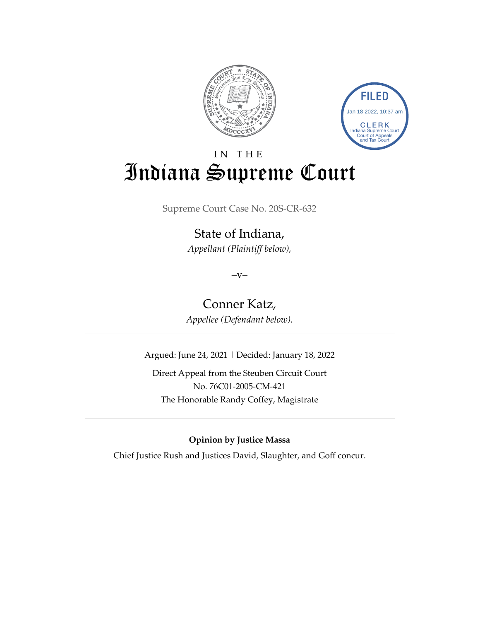



# IN THE Indiana Supreme Court

Supreme Court Case No. 20S-CR-632

State of Indiana, *Appellant (Plaintiff below),*

 $-V-$ 

Conner Katz, *Appellee (Defendant below).*

Argued: June 24, 2021 | Decided: January 18, 2022

Direct Appeal from the Steuben Circuit Court No. 76C01-2005-CM-421 The Honorable Randy Coffey, Magistrate

**Opinion by Justice Massa**

Chief Justice Rush and Justices David, Slaughter, and Goff concur.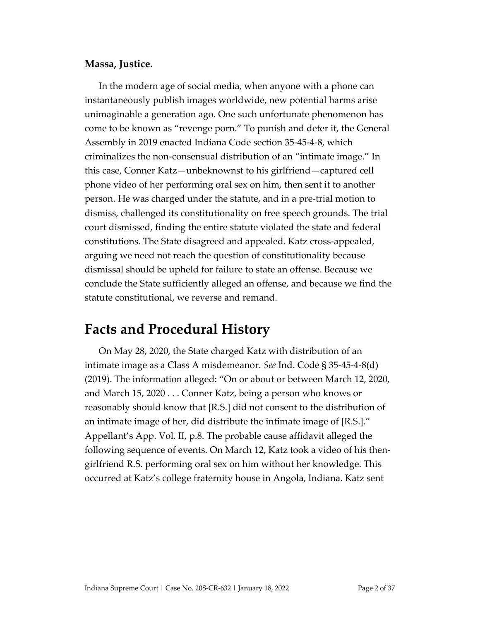#### **Massa, Justice.**

In the modern age of social media, when anyone with a phone can instantaneously publish images worldwide, new potential harms arise unimaginable a generation ago. One such unfortunate phenomenon has come to be known as "revenge porn." To punish and deter it, the General Assembly in 2019 enacted Indiana Code section 35-45-4-8, which criminalizes the non-consensual distribution of an "intimate image." In this case, Conner Katz—unbeknownst to his girlfriend—captured cell phone video of her performing oral sex on him, then sent it to another person. He was charged under the statute, and in a pre-trial motion to dismiss, challenged its constitutionality on free speech grounds. The trial court dismissed, finding the entire statute violated the state and federal constitutions. The State disagreed and appealed. Katz cross-appealed, arguing we need not reach the question of constitutionality because dismissal should be upheld for failure to state an offense. Because we conclude the State sufficiently alleged an offense, and because we find the statute constitutional, we reverse and remand.

### **Facts and Procedural History**

On May 28, 2020, the State charged Katz with distribution of an intimate image as a Class A misdemeanor. *See* Ind. Code § 35-45-4-8(d) (2019). The information alleged: "On or about or between March 12, 2020, and March 15, 2020 . . . Conner Katz, being a person who knows or reasonably should know that [R.S.] did not consent to the distribution of an intimate image of her, did distribute the intimate image of [R.S.]." Appellant's App. Vol. II, p.8. The probable cause affidavit alleged the following sequence of events. On March 12, Katz took a video of his thengirlfriend R.S. performing oral sex on him without her knowledge. This occurred at Katz's college fraternity house in Angola, Indiana. Katz sent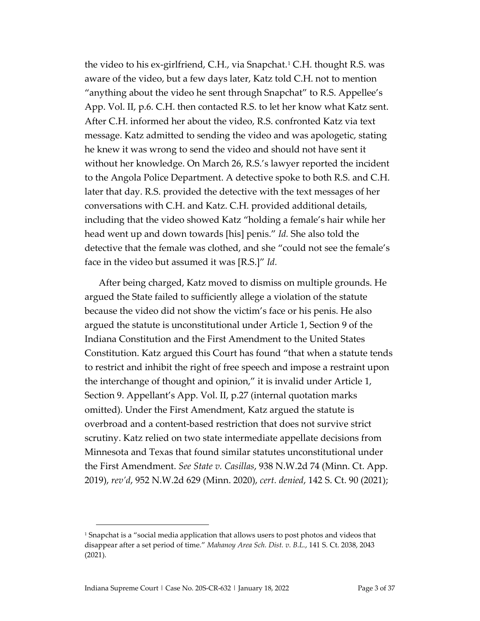the video to his ex-girlfriend, C.H., via Snapchat. [1](#page-2-0) C.H. thought R.S. was aware of the video, but a few days later, Katz told C.H. not to mention "anything about the video he sent through Snapchat" to R.S. Appellee's App. Vol. II, p.6. C.H. then contacted R.S. to let her know what Katz sent. After C.H. informed her about the video, R.S. confronted Katz via text message. Katz admitted to sending the video and was apologetic, stating he knew it was wrong to send the video and should not have sent it without her knowledge. On March 26, R.S.'s lawyer reported the incident to the Angola Police Department. A detective spoke to both R.S. and C.H. later that day. R.S. provided the detective with the text messages of her conversations with C.H. and Katz. C.H. provided additional details, including that the video showed Katz "holding a female's hair while her head went up and down towards [his] penis." *Id.* She also told the detective that the female was clothed, and she "could not see the female's face in the video but assumed it was [R.S.]" *Id.*

After being charged, Katz moved to dismiss on multiple grounds. He argued the State failed to sufficiently allege a violation of the statute because the video did not show the victim's face or his penis. He also argued the statute is unconstitutional under Article 1, Section 9 of the Indiana Constitution and the First Amendment to the United States Constitution. Katz argued this Court has found "that when a statute tends to restrict and inhibit the right of free speech and impose a restraint upon the interchange of thought and opinion," it is invalid under Article 1, Section 9. Appellant's App. Vol. II, p.27 (internal quotation marks omitted). Under the First Amendment, Katz argued the statute is overbroad and a content-based restriction that does not survive strict scrutiny. Katz relied on two state intermediate appellate decisions from Minnesota and Texas that found similar statutes unconstitutional under the First Amendment. *See State v. Casillas*, 938 N.W.2d 74 (Minn. Ct. App. 2019), *rev'd*, 952 N.W.2d 629 (Minn. 2020), *cert. denied*, 142 S. Ct. 90 (2021);

<span id="page-2-0"></span><sup>&</sup>lt;sup>1</sup> Snapchat is a "social media application that allows users to post photos and videos that disappear after a set period of time." *Mahanoy Area Sch. Dist. v. B.L.*, 141 S. Ct. 2038, 2043 (2021).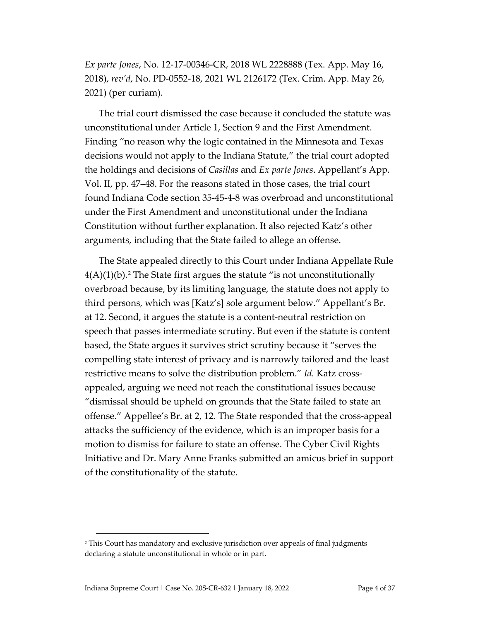*Ex parte Jones*, No. 12-17-00346-CR, 2018 WL 2228888 (Tex. App. May 16, 2018), *rev'd*, No. PD-0552-18, 2021 WL 2126172 (Tex. Crim. App. May 26, 2021) (per curiam).

The trial court dismissed the case because it concluded the statute was unconstitutional under Article 1, Section 9 and the First Amendment. Finding "no reason why the logic contained in the Minnesota and Texas decisions would not apply to the Indiana Statute," the trial court adopted the holdings and decisions of *Casillas* and *Ex parte Jones*. Appellant's App. Vol. II, pp. 47–48. For the reasons stated in those cases, the trial court found Indiana Code section 35-45-4-8 was overbroad and unconstitutional under the First Amendment and unconstitutional under the Indiana Constitution without further explanation. It also rejected Katz's other arguments, including that the State failed to allege an offense.

The State appealed directly to this Court under Indiana Appellate Rule  $4(A)(1)(b)$ .<sup>[2](#page-3-0)</sup> The State first argues the statute "is not unconstitutionally overbroad because, by its limiting language, the statute does not apply to third persons, which was [Katz's] sole argument below." Appellant's Br. at 12. Second, it argues the statute is a content-neutral restriction on speech that passes intermediate scrutiny. But even if the statute is content based, the State argues it survives strict scrutiny because it "serves the compelling state interest of privacy and is narrowly tailored and the least restrictive means to solve the distribution problem." *Id.* Katz crossappealed, arguing we need not reach the constitutional issues because "dismissal should be upheld on grounds that the State failed to state an offense." Appellee's Br. at 2, 12. The State responded that the cross-appeal attacks the sufficiency of the evidence, which is an improper basis for a motion to dismiss for failure to state an offense. The Cyber Civil Rights Initiative and Dr. Mary Anne Franks submitted an amicus brief in support of the constitutionality of the statute.

<span id="page-3-0"></span><sup>&</sup>lt;sup>2</sup> This Court has mandatory and exclusive jurisdiction over appeals of final judgments declaring a statute unconstitutional in whole or in part.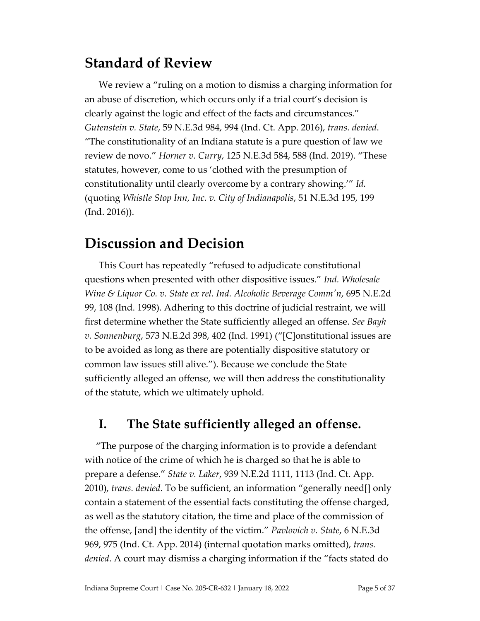## **Standard of Review**

We review a "ruling on a motion to dismiss a charging information for an abuse of discretion, which occurs only if a trial court's decision is clearly against the logic and effect of the facts and circumstances." *Gutenstein v. State*, 59 N.E.3d 984, 994 (Ind. Ct. App. 2016), *trans. denied*. "The constitutionality of an Indiana statute is a pure question of law we review de novo." *Horner v. Curry*, 125 N.E.3d 584, 588 (Ind. 2019). "These statutes, however, come to us 'clothed with the presumption of constitutionality until clearly overcome by a contrary showing.'" *Id.* (quoting *Whistle Stop Inn, Inc. v. City of Indianapolis*, 51 N.E.3d 195, 199 (Ind. 2016)).

### **Discussion and Decision**

This Court has repeatedly "refused to adjudicate constitutional questions when presented with other dispositive issues." *Ind. Wholesale Wine & Liquor Co. v. State ex rel. Ind. Alcoholic Beverage Comm'n*, 695 N.E.2d 99, 108 (Ind. 1998). Adhering to this doctrine of judicial restraint, we will first determine whether the State sufficiently alleged an offense. *See Bayh v. Sonnenburg*, 573 N.E.2d 398, 402 (Ind. 1991) ("[C]onstitutional issues are to be avoided as long as there are potentially dispositive statutory or common law issues still alive."). Because we conclude the State sufficiently alleged an offense, we will then address the constitutionality of the statute, which we ultimately uphold.

### **I. The State sufficiently alleged an offense.**

"The purpose of the charging information is to provide a defendant with notice of the crime of which he is charged so that he is able to prepare a defense." *State v. Laker*, 939 N.E.2d 1111, 1113 (Ind. Ct. App. 2010), *trans. denied*. To be sufficient, an information "generally need[] only contain a statement of the essential facts constituting the offense charged, as well as the statutory citation, the time and place of the commission of the offense, [and] the identity of the victim." *Pavlovich v. State*, 6 N.E.3d 969, 975 (Ind. Ct. App. 2014) (internal quotation marks omitted), *trans. denied*. A court may dismiss a charging information if the "facts stated do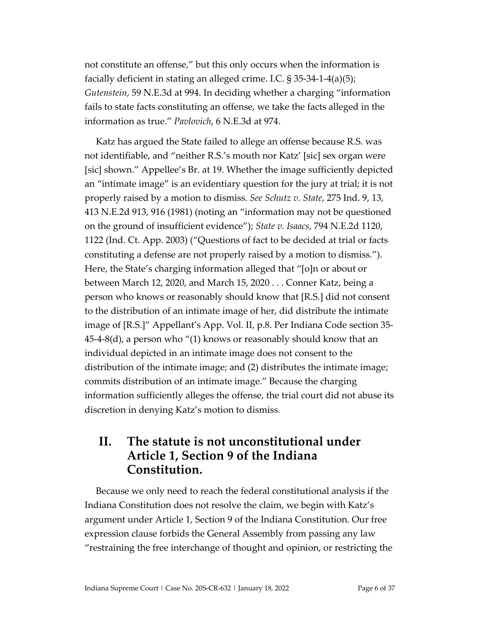not constitute an offense," but this only occurs when the information is facially deficient in stating an alleged crime. I.C. § 35-34-1-4(a)(5); *Gutenstein*, 59 N.E.3d at 994. In deciding whether a charging "information fails to state facts constituting an offense, we take the facts alleged in the information as true." *Pavlovich*, 6 N.E.3d at 974.

Katz has argued the State failed to allege an offense because R.S. was not identifiable, and "neither R.S.'s mouth nor Katz' [sic] sex organ were [sic] shown." Appellee's Br. at 19. Whether the image sufficiently depicted an "intimate image" is an evidentiary question for the jury at trial; it is not properly raised by a motion to dismiss. *See Schutz v. State*, 275 Ind. 9, 13, 413 N.E.2d 913, 916 (1981) (noting an "information may not be questioned on the ground of insufficient evidence"); *State v. Isaacs*, 794 N.E.2d 1120, 1122 (Ind. Ct. App. 2003) ("Questions of fact to be decided at trial or facts constituting a defense are not properly raised by a motion to dismiss."). Here, the State's charging information alleged that "[o]n or about or between March 12, 2020, and March 15, 2020 . . . Conner Katz, being a person who knows or reasonably should know that [R.S.] did not consent to the distribution of an intimate image of her, did distribute the intimate image of [R.S.]" Appellant's App. Vol. II, p.8. Per Indiana Code section 35- 45-4-8(d), a person who "(1) knows or reasonably should know that an individual depicted in an intimate image does not consent to the distribution of the intimate image; and (2) distributes the intimate image; commits distribution of an intimate image." Because the charging information sufficiently alleges the offense, the trial court did not abuse its discretion in denying Katz's motion to dismiss.

#### **II. The statute is not unconstitutional under Article 1, Section 9 of the Indiana Constitution.**

Because we only need to reach the federal constitutional analysis if the Indiana Constitution does not resolve the claim, we begin with Katz's argument under Article 1, Section 9 of the Indiana Constitution. Our free expression clause forbids the General Assembly from passing any law "restraining the free interchange of thought and opinion, or restricting the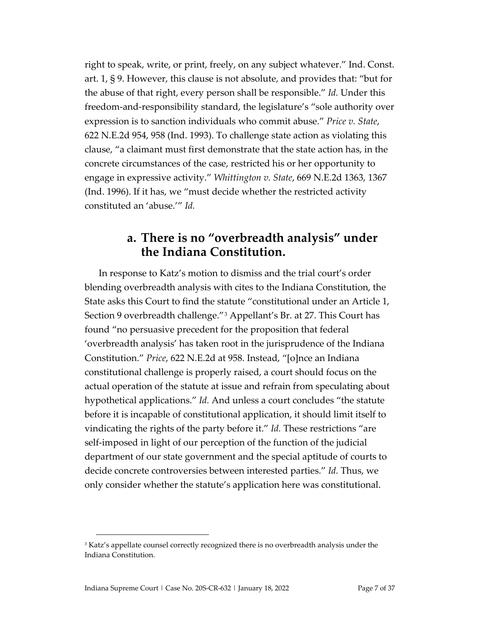right to speak, write, or print, freely, on any subject whatever." Ind. Const. art. 1, § 9. However, this clause is not absolute, and provides that: "but for the abuse of that right, every person shall be responsible." *Id.* Under this freedom-and-responsibility standard, the legislature's "sole authority over expression is to sanction individuals who commit abuse." *Price v. State*, 622 N.E.2d 954, 958 (Ind. 1993). To challenge state action as violating this clause, "a claimant must first demonstrate that the state action has, in the concrete circumstances of the case, restricted his or her opportunity to engage in expressive activity." *Whittington v. State*, 669 N.E.2d 1363, 1367 (Ind. 1996). If it has, we "must decide whether the restricted activity constituted an 'abuse.'" *Id.*

#### **a. There is no "overbreadth analysis" under the Indiana Constitution.**

In response to Katz's motion to dismiss and the trial court's order blending overbreadth analysis with cites to the Indiana Constitution, the State asks this Court to find the statute "constitutional under an Article 1, Section 9 overbreadth challenge."[3](#page-6-0) Appellant's Br. at 27. This Court has found "no persuasive precedent for the proposition that federal 'overbreadth analysis' has taken root in the jurisprudence of the Indiana Constitution." *Price*, 622 N.E.2d at 958. Instead, "[o]nce an Indiana constitutional challenge is properly raised, a court should focus on the actual operation of the statute at issue and refrain from speculating about hypothetical applications." *Id.* And unless a court concludes "the statute before it is incapable of constitutional application, it should limit itself to vindicating the rights of the party before it." *Id.* These restrictions "are self-imposed in light of our perception of the function of the judicial department of our state government and the special aptitude of courts to decide concrete controversies between interested parties." *Id.* Thus, we only consider whether the statute's application here was constitutional.

<span id="page-6-0"></span><sup>&</sup>lt;sup>3</sup> Katz's appellate counsel correctly recognized there is no overbreadth analysis under the Indiana Constitution.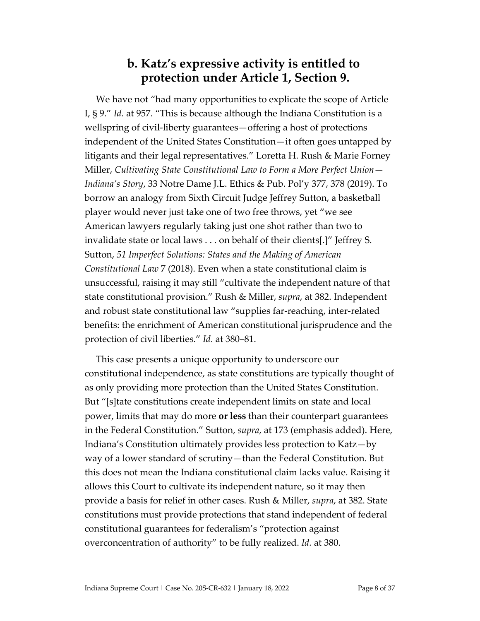#### **b. Katz's expressive activity is entitled to protection under Article 1, Section 9.**

We have not "had many opportunities to explicate the scope of Article I, § 9." *Id.* at 957. "This is because although the Indiana Constitution is a wellspring of civil-liberty guarantees—offering a host of protections independent of the United States Constitution—it often goes untapped by litigants and their legal representatives." Loretta H. Rush & Marie Forney Miller, *Cultivating State Constitutional Law to Form a More Perfect Union— Indiana's Story*, 33 Notre Dame J.L. Ethics & Pub. Pol'y 377, 378 (2019). To borrow an analogy from Sixth Circuit Judge Jeffrey Sutton, a basketball player would never just take one of two free throws, yet "we see American lawyers regularly taking just one shot rather than two to invalidate state or local laws . . . on behalf of their clients[.]" Jeffrey S. Sutton, *51 Imperfect Solutions: States and the Making of American Constitutional Law* 7 (2018). Even when a state constitutional claim is unsuccessful, raising it may still "cultivate the independent nature of that state constitutional provision." Rush & Miller, *supra*, at 382. Independent and robust state constitutional law "supplies far-reaching, inter-related benefits: the enrichment of American constitutional jurisprudence and the protection of civil liberties." *Id.* at 380–81.

This case presents a unique opportunity to underscore our constitutional independence, as state constitutions are typically thought of as only providing more protection than the United States Constitution. But "[s]tate constitutions create independent limits on state and local power, limits that may do more **or less** than their counterpart guarantees in the Federal Constitution." Sutton, *supra*, at 173 (emphasis added). Here, Indiana's Constitution ultimately provides less protection to Katz—by way of a lower standard of scrutiny—than the Federal Constitution. But this does not mean the Indiana constitutional claim lacks value. Raising it allows this Court to cultivate its independent nature, so it may then provide a basis for relief in other cases. Rush & Miller, *supra*, at 382. State constitutions must provide protections that stand independent of federal constitutional guarantees for federalism's "protection against overconcentration of authority" to be fully realized. *Id.* at 380.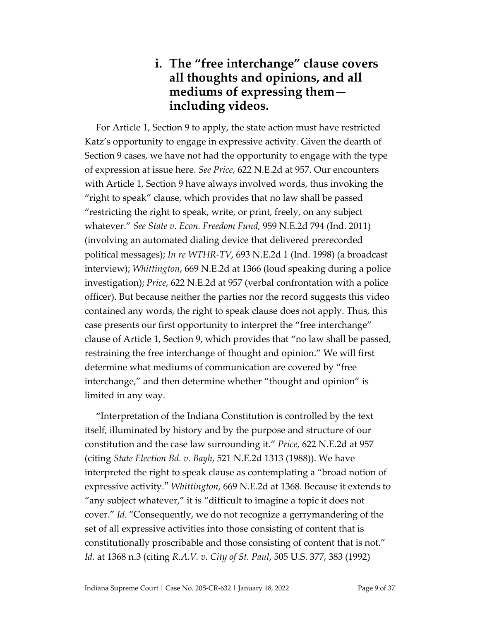#### **i. The "free interchange" clause covers all thoughts and opinions, and all mediums of expressing them including videos.**

For Article 1, Section 9 to apply, the state action must have restricted Katz's opportunity to engage in expressive activity. Given the dearth of Section 9 cases, we have not had the opportunity to engage with the type of expression at issue here. *See Price*, 622 N.E.2d at 957. Our encounters with Article 1, Section 9 have always involved words, thus invoking the "right to speak" clause, which provides that no law shall be passed "restricting the right to speak, write, or print, freely, on any subject whatever." *See State v. Econ. Freedom Fund,* 959 N.E.2d 794 (Ind. 2011) (involving an automated dialing device that delivered prerecorded political messages); *In re WTHR-TV*, 693 N.E.2d 1 (Ind. 1998) (a broadcast interview); *Whittington*, 669 N.E.2d at 1366 (loud speaking during a police investigation); *Price*, 622 N.E.2d at 957 (verbal confrontation with a police officer). But because neither the parties nor the record suggests this video contained any words, the right to speak clause does not apply. Thus, this case presents our first opportunity to interpret the "free interchange" clause of Article 1, Section 9, which provides that "no law shall be passed, restraining the free interchange of thought and opinion." We will first determine what mediums of communication are covered by "free interchange," and then determine whether "thought and opinion" is limited in any way.

"Interpretation of the Indiana Constitution is controlled by the text itself, illuminated by history and by the purpose and structure of our constitution and the case law surrounding it." *Price*, 622 N.E.2d at 957 (citing *State Election Bd. v. Bayh*, 521 N.E.2d 1313 (1988)). We have interpreted the right to speak clause as contemplating a "broad notion of expressive activity." *Whittington*, 669 N.E.2d at 1368. Because it extends to "any subject whatever," it is "difficult to imagine a topic it does not cover." *Id.* "Consequently, we do not recognize a gerrymandering of the set of all expressive activities into those consisting of content that is constitutionally proscribable and those consisting of content that is not." *Id.* at 1368 n.3 (citing *R.A.V. v. City of St. Paul*, 505 U.S. 377, 383 (1992)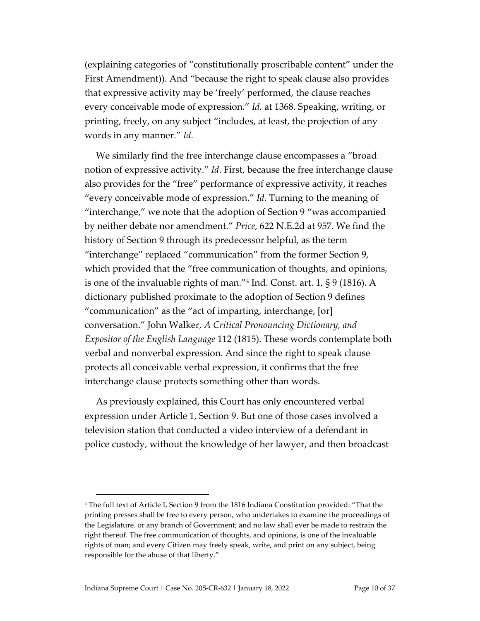(explaining categories of "constitutionally proscribable content" under the First Amendment)). And "because the right to speak clause also provides that expressive activity may be 'freely' performed, the clause reaches every conceivable mode of expression." *Id.* at 1368. Speaking, writing, or printing, freely, on any subject "includes, at least, the projection of any words in any manner." *Id.*

We similarly find the free interchange clause encompasses a "broad notion of expressive activity." *Id*. First, because the free interchange clause also provides for the "free" performance of expressive activity, it reaches "every conceivable mode of expression." *Id.* Turning to the meaning of "interchange," we note that the adoption of Section 9 "was accompanied by neither debate nor amendment." *Price*, 622 N.E.2d at 957. We find the history of Section 9 through its predecessor helpful, as the term "interchange" replaced "communication" from the former Section 9, which provided that the "free communication of thoughts, and opinions, is one of the invaluable rights of man."[4](#page-9-0) Ind. Const. art. 1, § 9 (1816). A dictionary published proximate to the adoption of Section 9 defines "communication" as the "act of imparting, interchange, [or] conversation." John Walker, *A Critical Pronouncing Dictionary, and Expositor of the English Language* 112 (1815). These words contemplate both verbal and nonverbal expression. And since the right to speak clause protects all conceivable verbal expression, it confirms that the free interchange clause protects something other than words.

As previously explained, this Court has only encountered verbal expression under Article 1, Section 9. But one of those cases involved a television station that conducted a video interview of a defendant in police custody, without the knowledge of her lawyer, and then broadcast

<span id="page-9-0"></span><sup>4</sup> The full text of Article I, Section 9 from the 1816 Indiana Constitution provided: "That the printing presses shall be free to every person, who undertakes to examine the proceedings of the Legislature. or any branch of Government; and no law shall ever be made to restrain the right thereof. The free communication of thoughts, and opinions, is one of the invaluable rights of man; and every Citizen may freely speak, write, and print on any subject, being responsible for the abuse of that liberty."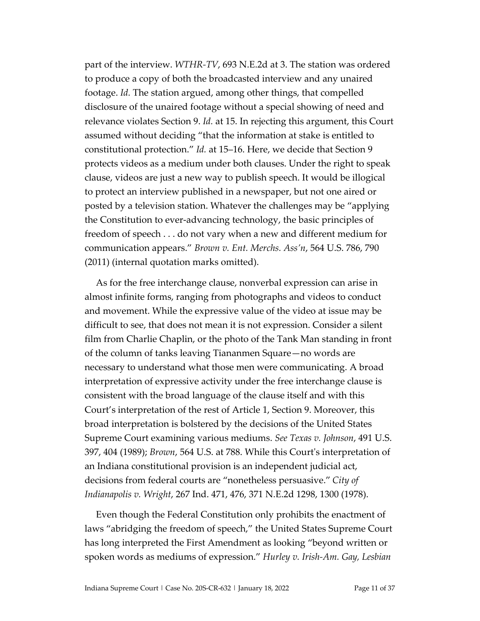part of the interview. *WTHR-TV*, 693 N.E.2d at 3. The station was ordered to produce a copy of both the broadcasted interview and any unaired footage. *Id.* The station argued, among other things, that compelled disclosure of the unaired footage without a special showing of need and relevance violates Section 9. *Id.* at 15. In rejecting this argument, this Court assumed without deciding "that the information at stake is entitled to constitutional protection." *Id.* at 15–16. Here, we decide that Section 9 protects videos as a medium under both clauses. Under the right to speak clause, videos are just a new way to publish speech. It would be illogical to protect an interview published in a newspaper, but not one aired or posted by a television station. Whatever the challenges may be "applying the Constitution to ever-advancing technology, the basic principles of freedom of speech . . . do not vary when a new and different medium for communication appears." *Brown v. Ent. Merchs. Ass'n*, 564 U.S. 786, 790 (2011) (internal quotation marks omitted).

As for the free interchange clause, nonverbal expression can arise in almost infinite forms, ranging from photographs and videos to conduct and movement. While the expressive value of the video at issue may be difficult to see, that does not mean it is not expression. Consider a silent film from Charlie Chaplin, or the photo of the Tank Man standing in front of the column of tanks leaving Tiananmen Square—no words are necessary to understand what those men were communicating. A broad interpretation of expressive activity under the free interchange clause is consistent with the broad language of the clause itself and with this Court's interpretation of the rest of Article 1, Section 9. Moreover, this broad interpretation is bolstered by the decisions of the United States Supreme Court examining various mediums. *See Texas v. Johnson*, 491 U.S. 397, 404 (1989); *Brown*, 564 U.S. at 788. While this Court's interpretation of an Indiana constitutional provision is an independent judicial act, decisions from federal courts are "nonetheless persuasive." *City of Indianapolis v. Wright*, 267 Ind. 471, 476, 371 N.E.2d 1298, 1300 (1978).

Even though the Federal Constitution only prohibits the enactment of laws "abridging the freedom of speech," the United States Supreme Court has long interpreted the First Amendment as looking "beyond written or spoken words as mediums of expression." *Hurley v. Irish-Am. Gay, Lesbian*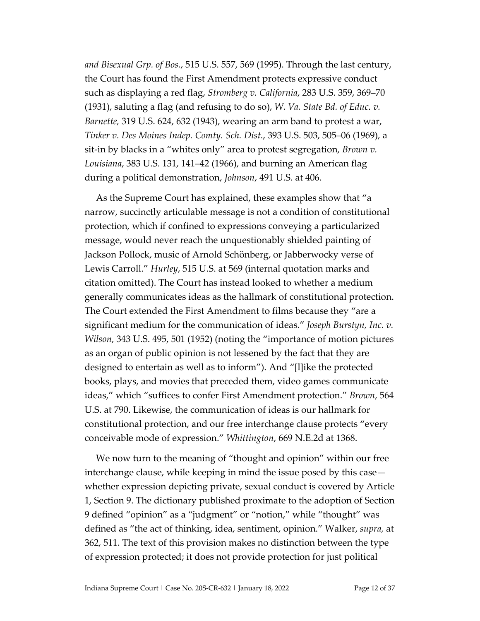*and Bisexual Grp. of Bos.*, 515 U.S. 557, 569 (1995). Through the last century, the Court has found the First Amendment protects expressive conduct such as displaying a red flag, *Stromberg v. California*, 283 U.S. 359, 369–70 (1931), saluting a flag (and refusing to do so), *W. Va. State Bd. of Educ. v. Barnette,* 319 U.S. 624, 632 (1943), wearing an arm band to protest a war, *Tinker v. Des Moines Indep. Comty. Sch. Dist.*, 393 U.S. 503, 505–06 (1969), a sit-in by blacks in a "whites only" area to protest segregation, *Brown v. Louisiana*, 383 U.S. 131, 141–42 (1966), and burning an American flag during a political demonstration, *Johnson*, 491 U.S. at 406.

As the Supreme Court has explained, these examples show that "a narrow, succinctly articulable message is not a condition of constitutional protection, which if confined to expressions conveying a particularized message, would never reach the unquestionably shielded painting of Jackson Pollock, music of Arnold Schönberg, or Jabberwocky verse of Lewis Carroll." *Hurley*, 515 U.S. at 569 (internal quotation marks and citation omitted). The Court has instead looked to whether a medium generally communicates ideas as the hallmark of constitutional protection. The Court extended the First Amendment to films because they "are a significant medium for the communication of ideas." *Joseph Burstyn, Inc. v. Wilson*, 343 U.S. 495, 501 (1952) (noting the "importance of motion pictures as an organ of public opinion is not lessened by the fact that they are designed to entertain as well as to inform"). And "[l]ike the protected books, plays, and movies that preceded them, video games communicate ideas," which "suffices to confer First Amendment protection." *Brown*, 564 U.S. at 790. Likewise, the communication of ideas is our hallmark for constitutional protection, and our free interchange clause protects "every conceivable mode of expression." *Whittington*, 669 N.E.2d at 1368.

We now turn to the meaning of "thought and opinion" within our free interchange clause, while keeping in mind the issue posed by this case whether expression depicting private, sexual conduct is covered by Article 1, Section 9. The dictionary published proximate to the adoption of Section 9 defined "opinion" as a "judgment" or "notion," while "thought" was defined as "the act of thinking, idea, sentiment, opinion." Walker, *supra,* at 362, 511. The text of this provision makes no distinction between the type of expression protected; it does not provide protection for just political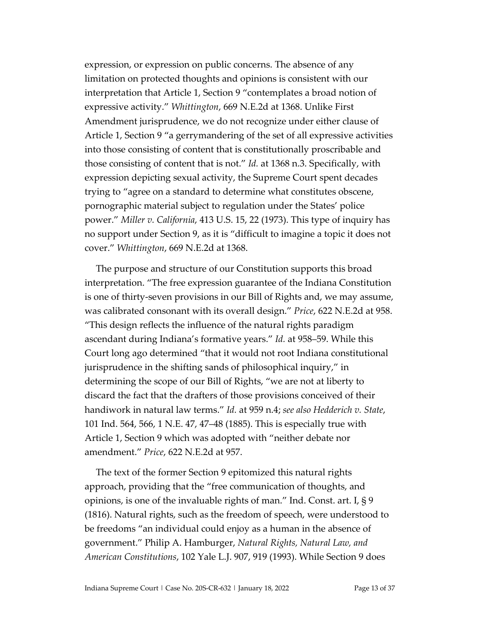expression, or expression on public concerns. The absence of any limitation on protected thoughts and opinions is consistent with our interpretation that Article 1, Section 9 "contemplates a broad notion of expressive activity." *Whittington*, 669 N.E.2d at 1368. Unlike First Amendment jurisprudence, we do not recognize under either clause of Article 1, Section 9 "a gerrymandering of the set of all expressive activities into those consisting of content that is constitutionally proscribable and those consisting of content that is not." *Id.* at 1368 n.3. Specifically, with expression depicting sexual activity, the Supreme Court spent decades trying to "agree on a standard to determine what constitutes obscene, pornographic material subject to regulation under the States' police power." *Miller v. California*, 413 U.S. 15, 22 (1973). This type of inquiry has no support under Section 9, as it is "difficult to imagine a topic it does not cover." *Whittington*, 669 N.E.2d at 1368.

The purpose and structure of our Constitution supports this broad interpretation. "The free expression guarantee of the Indiana Constitution is one of thirty-seven provisions in our Bill of Rights and, we may assume, was calibrated consonant with its overall design." *Price*, 622 N.E.2d at 958. "This design reflects the influence of the natural rights paradigm ascendant during Indiana's formative years." *Id.* at 958–59. While this Court long ago determined "that it would not root Indiana constitutional jurisprudence in the shifting sands of philosophical inquiry," in determining the scope of our Bill of Rights, "we are not at liberty to discard the fact that the drafters of those provisions conceived of their handiwork in natural law terms." *Id.* at 959 n.4; *see also Hedderich v. State*, 101 Ind. 564, 566, 1 N.E. 47, 47–48 (1885). This is especially true with Article 1, Section 9 which was adopted with "neither debate nor amendment." *Price*, 622 N.E.2d at 957.

The text of the former Section 9 epitomized this natural rights approach, providing that the "free communication of thoughts, and opinions, is one of the invaluable rights of man." Ind. Const. art. I, § 9 (1816). Natural rights, such as the freedom of speech, were understood to be freedoms "an individual could enjoy as a human in the absence of government." Philip A. Hamburger, *Natural Rights, Natural Law, and American Constitutions*, 102 Yale L.J. 907, 919 (1993). While Section 9 does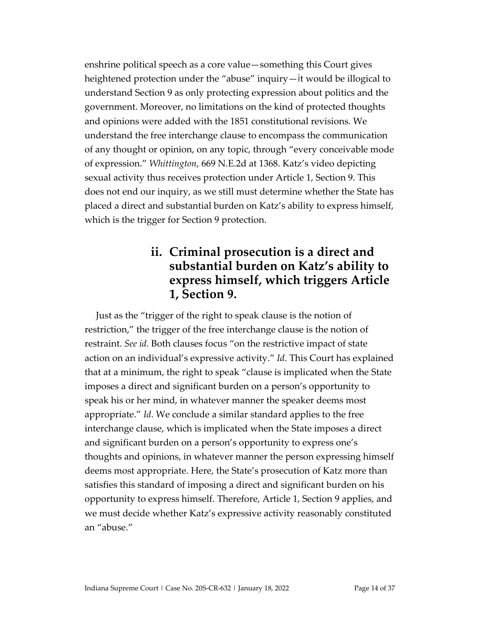enshrine political speech as a core value—something this Court gives heightened protection under the "abuse" inquiry—it would be illogical to understand Section 9 as only protecting expression about politics and the government. Moreover, no limitations on the kind of protected thoughts and opinions were added with the 1851 constitutional revisions. We understand the free interchange clause to encompass the communication of any thought or opinion, on any topic, through "every conceivable mode of expression." *Whittington*, 669 N.E.2d at 1368. Katz's video depicting sexual activity thus receives protection under Article 1, Section 9. This does not end our inquiry, as we still must determine whether the State has placed a direct and substantial burden on Katz's ability to express himself, which is the trigger for Section 9 protection.

#### **ii. Criminal prosecution is a direct and substantial burden on Katz's ability to express himself, which triggers Article 1, Section 9.**

Just as the "trigger of the right to speak clause is the notion of restriction," the trigger of the free interchange clause is the notion of restraint. *See id.* Both clauses focus "on the restrictive impact of state action on an individual's expressive activity." *Id*. This Court has explained that at a minimum, the right to speak "clause is implicated when the State imposes a direct and significant burden on a person's opportunity to speak his or her mind, in whatever manner the speaker deems most appropriate." *Id*. We conclude a similar standard applies to the free interchange clause, which is implicated when the State imposes a direct and significant burden on a person's opportunity to express one's thoughts and opinions, in whatever manner the person expressing himself deems most appropriate. Here, the State's prosecution of Katz more than satisfies this standard of imposing a direct and significant burden on his opportunity to express himself. Therefore, Article 1, Section 9 applies, and we must decide whether Katz's expressive activity reasonably constituted an "abuse."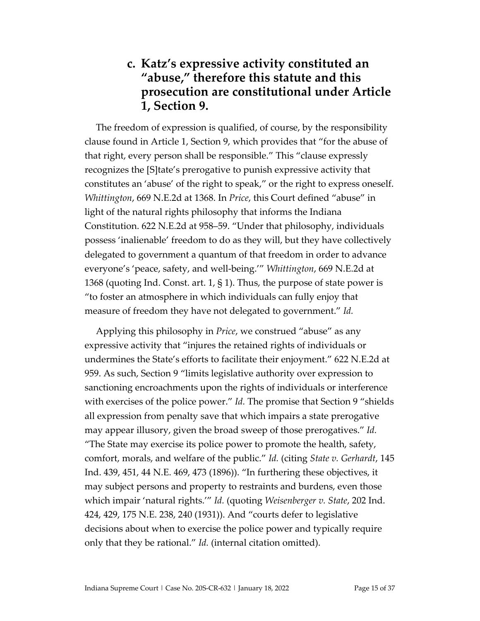#### **c. Katz's expressive activity constituted an "abuse, " therefore this statute and this prosecution are constitutional under Article 1, Section 9.**

The freedom of expression is qualified, of course, by the responsibility clause found in Article 1, Section 9, which provides that "for the abuse of that right, every person shall be responsible." This "clause expressly recognizes the [S]tate's prerogative to punish expressive activity that constitutes an 'abuse' of the right to speak," or the right to express oneself. *Whittington*, 669 N.E.2d at 1368. In *Price*, this Court defined "abuse" in light of the natural rights philosophy that informs the Indiana Constitution. 622 N.E.2d at 958–59. "Under that philosophy, individuals possess 'inalienable' freedom to do as they will, but they have collectively delegated to government a quantum of that freedom in order to advance everyone's 'peace, safety, and well-being.'" *Whittington*, 669 N.E.2d at 1368 (quoting Ind. Const. art. 1, § 1). Thus, the purpose of state power is "to foster an atmosphere in which individuals can fully enjoy that measure of freedom they have not delegated to government." *Id.*

Applying this philosophy in *Price*, we construed "abuse" as any expressive activity that "injures the retained rights of individuals or undermines the State's efforts to facilitate their enjoyment." 622 N.E.2d at 959. As such, Section 9 "limits legislative authority over expression to sanctioning encroachments upon the rights of individuals or interference with exercises of the police power." *Id.* The promise that Section 9 "shields all expression from penalty save that which impairs a state prerogative may appear illusory, given the broad sweep of those prerogatives." *Id.* "The State may exercise its police power to promote the health, safety, comfort, morals, and welfare of the public." *Id.* (citing *State v. Gerhardt*, 145 Ind. 439, 451, 44 N.E. 469, 473 (1896)). "In furthering these objectives, it may subject persons and property to restraints and burdens, even those which impair 'natural rights.'" *Id.* (quoting *Weisenberger v. State*, 202 Ind. 424, 429, 175 N.E. 238, 240 (1931)). And "courts defer to legislative decisions about when to exercise the police power and typically require only that they be rational." *Id.* (internal citation omitted).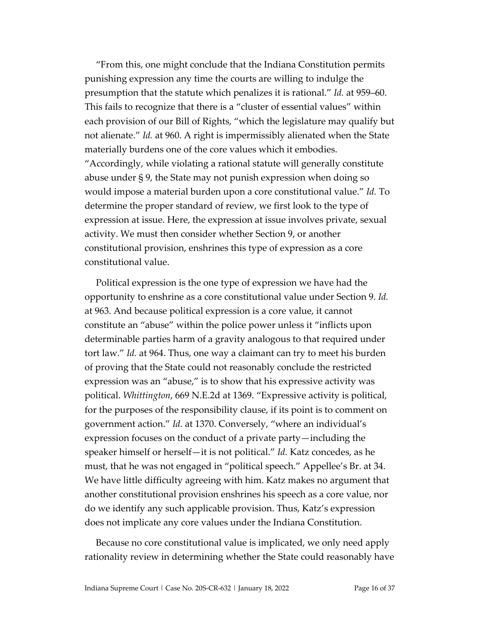"From this, one might conclude that the Indiana Constitution permits punishing expression any time the courts are willing to indulge the presumption that the statute which penalizes it is rational." *Id.* at 959–60. This fails to recognize that there is a "cluster of essential values" within each provision of our Bill of Rights, "which the legislature may qualify but not alienate." *Id.* at 960. A right is impermissibly alienated when the State materially burdens one of the core values which it embodies. "Accordingly, while violating a rational statute will generally constitute abuse under § 9, the State may not punish expression when doing so would impose a material burden upon a core constitutional value." *Id.* To determine the proper standard of review, we first look to the type of expression at issue. Here, the expression at issue involves private, sexual activity. We must then consider whether Section 9, or another constitutional provision, enshrines this type of expression as a core constitutional value.

Political expression is the one type of expression we have had the opportunity to enshrine as a core constitutional value under Section 9. *Id.*  at 963. And because political expression is a core value, it cannot constitute an "abuse" within the police power unless it "inflicts upon determinable parties harm of a gravity analogous to that required under tort law." *Id.* at 964. Thus, one way a claimant can try to meet his burden of proving that the State could not reasonably conclude the restricted expression was an "abuse," is to show that his expressive activity was political. *Whittington*, 669 N.E.2d at 1369. "Expressive activity is political, for the purposes of the responsibility clause, if its point is to comment on government action." *Id.* at 1370. Conversely, "where an individual's expression focuses on the conduct of a private party—including the speaker himself or herself—it is not political." *Id.* Katz concedes, as he must, that he was not engaged in "political speech." Appellee's Br. at 34. We have little difficulty agreeing with him. Katz makes no argument that another constitutional provision enshrines his speech as a core value, nor do we identify any such applicable provision. Thus, Katz's expression does not implicate any core values under the Indiana Constitution.

Because no core constitutional value is implicated, we only need apply rationality review in determining whether the State could reasonably have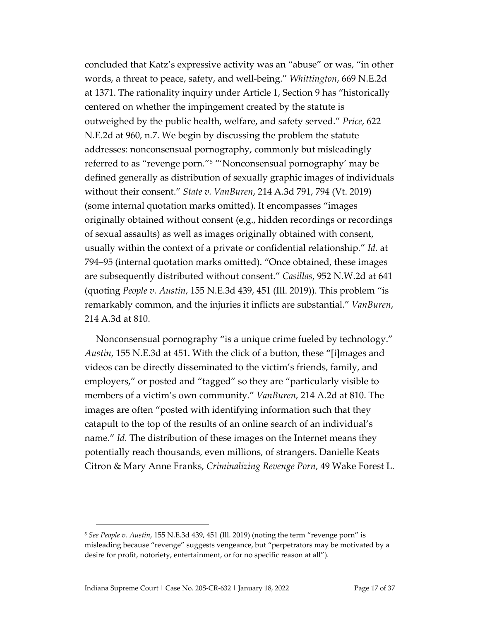concluded that Katz's expressive activity was an "abuse" or was, "in other words, a threat to peace, safety, and well-being." *Whittington*, 669 N.E.2d at 1371. The rationality inquiry under Article 1, Section 9 has "historically centered on whether the impingement created by the statute is outweighed by the public health, welfare, and safety served." *Price*, 622 N.E.2d at 960, n.7. We begin by discussing the problem the statute addresses: nonconsensual pornography, commonly but misleadingly referred to as "revenge porn."[5](#page-16-0) "'Nonconsensual pornography' may be defined generally as distribution of sexually graphic images of individuals without their consent." *State v. VanBuren*, 214 A.3d 791, 794 (Vt. 2019) (some internal quotation marks omitted). It encompasses "images originally obtained without consent (e.g., hidden recordings or recordings of sexual assaults) as well as images originally obtained with consent, usually within the context of a private or confidential relationship." *Id.* at 794–95 (internal quotation marks omitted). "Once obtained, these images are subsequently distributed without consent." *Casillas*, 952 N.W.2d at 641 (quoting *People v. Austin*, 155 N.E.3d 439, 451 (Ill. 2019)). This problem "is remarkably common, and the injuries it inflicts are substantial." *VanBuren*, 214 A.3d at 810.

Nonconsensual pornography "is a unique crime fueled by technology." *Austin*, 155 N.E.3d at 451. With the click of a button, these "[i]mages and videos can be directly disseminated to the victim's friends, family, and employers," or posted and "tagged" so they are "particularly visible to members of a victim's own community." *VanBuren*, 214 A.2d at 810. The images are often "posted with identifying information such that they catapult to the top of the results of an online search of an individual's name." *Id.* The distribution of these images on the Internet means they potentially reach thousands, even millions, of strangers. Danielle Keats Citron & Mary Anne Franks, *Criminalizing Revenge Porn*, 49 Wake Forest L.

<span id="page-16-0"></span><sup>5</sup> *See People v. Austin*, 155 N.E.3d 439, 451 (Ill. 2019) (noting the term "revenge porn" is misleading because "revenge" suggests vengeance, but "perpetrators may be motivated by a desire for profit, notoriety, entertainment, or for no specific reason at all").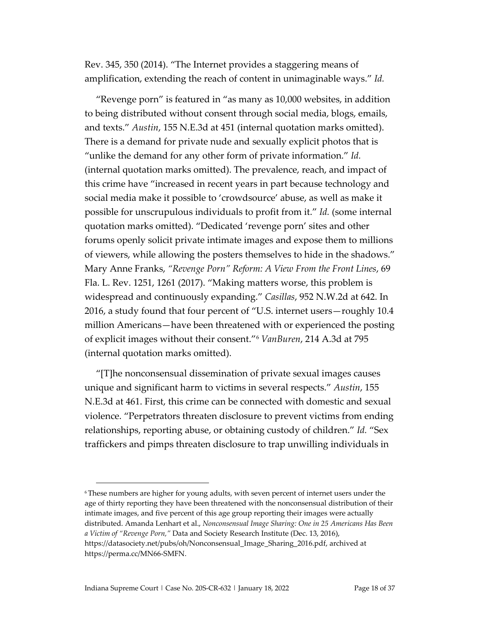Rev. 345, 350 (2014). "The Internet provides a staggering means of amplification, extending the reach of content in unimaginable ways." *Id.*

"Revenge porn" is featured in "as many as 10,000 websites, in addition to being distributed without consent through social media, blogs, emails, and texts." *Austin*, 155 N.E.3d at 451 (internal quotation marks omitted). There is a demand for private nude and sexually explicit photos that is "unlike the demand for any other form of private information." *Id.* (internal quotation marks omitted). The prevalence, reach, and impact of this crime have "increased in recent years in part because technology and social media make it possible to 'crowdsource' abuse, as well as make it possible for unscrupulous individuals to profit from it." *Id.* (some internal quotation marks omitted). "Dedicated 'revenge porn' sites and other forums openly solicit private intimate images and expose them to millions of viewers, while allowing the posters themselves to hide in the shadows." Mary Anne Franks, *"Revenge Porn" Reform: A View From the Front Lines*, 69 Fla. L. Rev. 1251, 1261 (2017). "Making matters worse, this problem is widespread and continuously expanding." *Casillas*, 952 N.W.2d at 642. In 2016, a study found that four percent of "U.S. internet users—roughly 10.4 million Americans—have been threatened with or experienced the posting of explicit images without their consent."[6](#page-17-0) *VanBuren*, 214 A.3d at 795 (internal quotation marks omitted).

"[T]he nonconsensual dissemination of private sexual images causes unique and significant harm to victims in several respects." *Austin*, 155 N.E.3d at 461. First, this crime can be connected with domestic and sexual violence. "Perpetrators threaten disclosure to prevent victims from ending relationships, reporting abuse, or obtaining custody of children." *Id.* "Sex traffickers and pimps threaten disclosure to trap unwilling individuals in

<span id="page-17-0"></span><sup>6</sup>These numbers are higher for young adults, with seven percent of internet users under the age of thirty reporting they have been threatened with the nonconsensual distribution of their intimate images, and five percent of this age group reporting their images were actually distributed. Amanda Lenhart et al., *Nonconsensual Image Sharing: One in 25 Americans Has Been a Victim of "Revenge Porn,"* Data and Society Research Institute (Dec. 13, 2016), [https://datasociety.net/pubs/oh/Nonconsensual\\_Image\\_Sharing\\_2016.pdf,](https://datasociety.net/pubs/oh/Nonconsensual_Image_Sharing_2016.pdf) archived at [https://perma.cc/MN66-SMFN.](https://perma.cc/MN66-SMFN)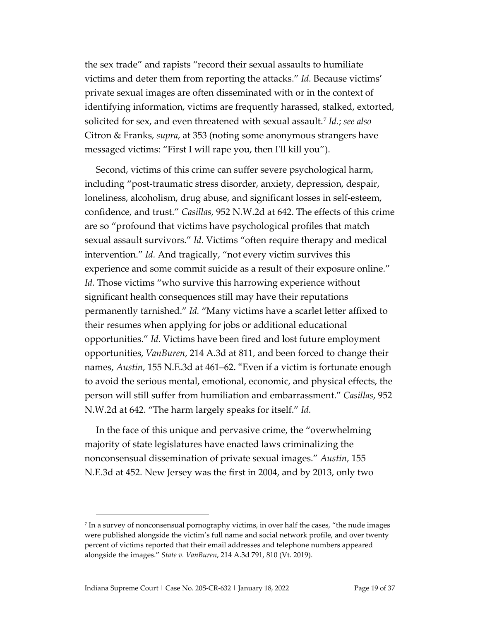the sex trade" and rapists "record their sexual assaults to humiliate victims and deter them from reporting the attacks." *Id.* Because victims' private sexual images are often disseminated with or in the context of identifying information, victims are frequently harassed, stalked, extorted, solicited for sex, and even threatened with sexual assault.[7](#page-18-0) *Id.*; *see also* Citron & Franks, *supra*, at 353 (noting some anonymous strangers have messaged victims: "First I will rape you, then I'll kill you").

Second, victims of this crime can suffer severe psychological harm, including "post-traumatic stress disorder, anxiety, depression, despair, loneliness, alcoholism, drug abuse, and significant losses in self-esteem, confidence, and trust." *Casillas*, 952 N.W.2d at 642. The effects of this crime are so "profound that victims have psychological profiles that match sexual assault survivors." *Id.* Victims "often require therapy and medical intervention." *Id.* And tragically, "not every victim survives this experience and some commit suicide as a result of their exposure online." *Id.* Those victims "who survive this harrowing experience without significant health consequences still may have their reputations permanently tarnished." *Id.* "Many victims have a scarlet letter affixed to their resumes when applying for jobs or additional educational opportunities." *Id.* Victims have been fired and lost future employment opportunities, *VanBuren*, 214 A.3d at 811, and been forced to change their names, *Austin*, 155 N.E.3d at 461–62. "Even if a victim is fortunate enough to avoid the serious mental, emotional, economic, and physical effects, the person will still suffer from humiliation and embarrassment." *Casillas*, 952 N.W.2d at 642. "The harm largely speaks for itself." *Id.*

In the face of this unique and pervasive crime, the "overwhelming majority of state legislatures have enacted laws criminalizing the nonconsensual dissemination of private sexual images." *Austin*, 155 N.E.3d at 452. New Jersey was the first in 2004, and by 2013, only two

<span id="page-18-0"></span><sup>7</sup> In a survey of nonconsensual pornography victims, in over half the cases, "the nude images were published alongside the victim's full name and social network profile, and over twenty percent of victims reported that their email addresses and telephone numbers appeared alongside the images." *State v. VanBuren*, 214 A.3d 791, 810 (Vt. 2019).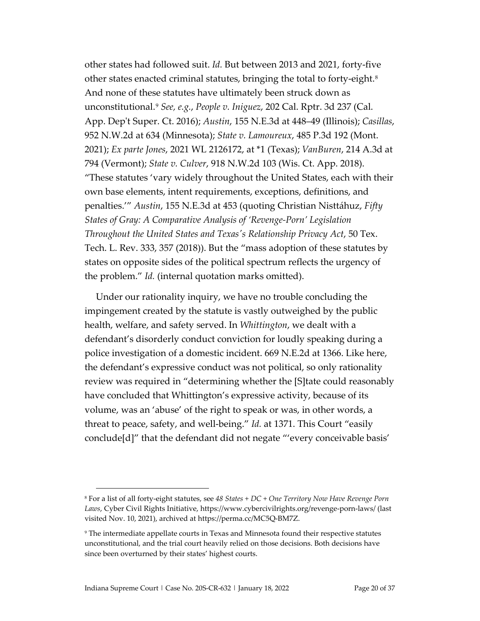other states had followed suit. *Id.* But between 2013 and 2021, forty-five other states enacted criminal statutes, bringing the total to forty-eight.<sup>[8](#page-19-0)</sup> And none of these statutes have ultimately been struck down as unconstitutional.[9](#page-19-1) *See, e.g.*, *People v. Iniguez*, 202 Cal. Rptr. 3d 237 (Cal. App. Dep't Super. Ct. 2016); *Austin*, 155 N.E.3d at 448–49 (Illinois); *Casillas*, 952 N.W.2d at 634 (Minnesota); *State v. Lamoureux*, 485 P.3d 192 (Mont. 2021); *Ex parte Jones*, 2021 WL 2126172, at \*1 (Texas); *VanBuren*, 214 A.3d at 794 (Vermont); *State v. Culver*, 918 N.W.2d 103 (Wis. Ct. App. 2018). "These statutes 'vary widely throughout the United States, each with their own base elements, intent requirements, exceptions, definitions, and penalties.'" *Austin*, 155 N.E.3d at 453 (quoting Christian Nisttáhuz, *Fifty States of Gray: A Comparative Analysis of 'Revenge-Porn' Legislation Throughout the United States and Texas's Relationship Privacy Act*, 50 Tex. Tech. L. Rev. 333, 357 (2018)). But the "mass adoption of these statutes by states on opposite sides of the political spectrum reflects the urgency of the problem." *Id.* (internal quotation marks omitted).

Under our rationality inquiry, we have no trouble concluding the impingement created by the statute is vastly outweighed by the public health, welfare, and safety served. In *Whittington*, we dealt with a defendant's disorderly conduct conviction for loudly speaking during a police investigation of a domestic incident. 669 N.E.2d at 1366. Like here, the defendant's expressive conduct was not political, so only rationality review was required in "determining whether the [S]tate could reasonably have concluded that Whittington's expressive activity, because of its volume, was an 'abuse' of the right to speak or was, in other words, a threat to peace, safety, and well-being." *Id.* at 1371. This Court "easily conclude[d]" that the defendant did not negate "'every conceivable basis'

<span id="page-19-0"></span><sup>8</sup> For a list of all forty-eight statutes, see *48 States + DC + One Territory Now Have Revenge Porn Laws*, Cyber Civil Rights Initiative[, https://www.cybercivilrights.org/revenge-porn-laws/](https://www.cybercivilrights.org/revenge-porn-laws/) (last visited Nov. 10, 2021), archived a[t https://perma.cc/MC5Q-BM7Z.](https://perma.cc/MC5Q-BM7Z)

<span id="page-19-1"></span><sup>9</sup> The intermediate appellate courts in Texas and Minnesota found their respective statutes unconstitutional, and the trial court heavily relied on those decisions. Both decisions have since been overturned by their states' highest courts.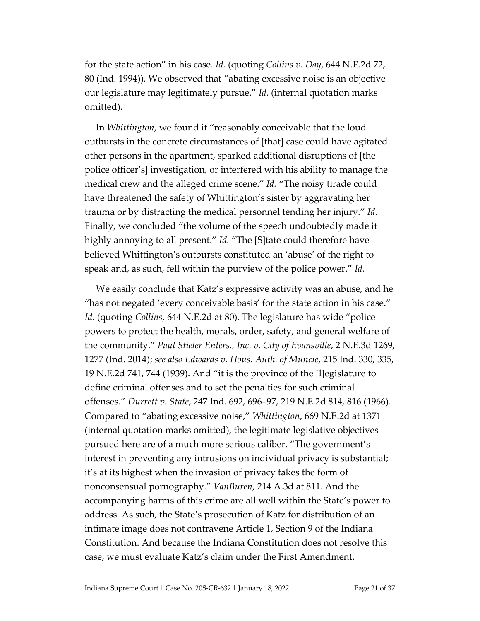for the state action" in his case. *Id.* (quoting *Collins v. Day*, 644 N.E.2d 72, 80 (Ind. 1994)). We observed that "abating excessive noise is an objective our legislature may legitimately pursue." *Id.* (internal quotation marks omitted).

In *Whittington*, we found it "reasonably conceivable that the loud outbursts in the concrete circumstances of [that] case could have agitated other persons in the apartment, sparked additional disruptions of [the police officer's] investigation, or interfered with his ability to manage the medical crew and the alleged crime scene." *Id.* "The noisy tirade could have threatened the safety of Whittington's sister by aggravating her trauma or by distracting the medical personnel tending her injury." *Id.* Finally, we concluded "the volume of the speech undoubtedly made it highly annoying to all present." *Id.* "The [S]tate could therefore have believed Whittington's outbursts constituted an 'abuse' of the right to speak and, as such, fell within the purview of the police power." *Id.*

We easily conclude that Katz's expressive activity was an abuse, and he "has not negated 'every conceivable basis' for the state action in his case." *Id.* (quoting *Collins*, 644 N.E.2d at 80). The legislature has wide "police powers to protect the health, morals, order, safety, and general welfare of the community." *Paul Stieler Enters., Inc. v. City of Evansville*, 2 N.E.3d 1269, 1277 (Ind. 2014); *see also Edwards v. Hous. Auth. of Muncie*, 215 Ind. 330, 335, 19 N.E.2d 741, 744 (1939). And "it is the province of the [l]egislature to define criminal offenses and to set the penalties for such criminal offenses." *Durrett v. State*, 247 Ind. 692, 696–97, 219 N.E.2d 814, 816 (1966). Compared to "abating excessive noise," *Whittington*, 669 N.E.2d at 1371 (internal quotation marks omitted), the legitimate legislative objectives pursued here are of a much more serious caliber. "The government's interest in preventing any intrusions on individual privacy is substantial; it's at its highest when the invasion of privacy takes the form of nonconsensual pornography." *VanBuren*, 214 A.3d at 811. And the accompanying harms of this crime are all well within the State's power to address. As such, the State's prosecution of Katz for distribution of an intimate image does not contravene Article 1, Section 9 of the Indiana Constitution. And because the Indiana Constitution does not resolve this case, we must evaluate Katz's claim under the First Amendment.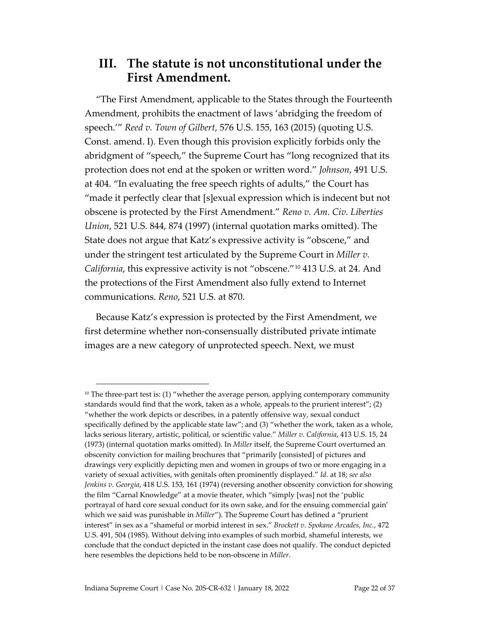#### **III. The statute is not unconstitutional under the First Amendment.**

"The First Amendment, applicable to the States through the Fourteenth Amendment, prohibits the enactment of laws 'abridging the freedom of speech.'" *Reed v. Town of Gilbert*, 576 U.S. 155, 163 (2015) (quoting U.S. Const. amend. I). Even though this provision explicitly forbids only the abridgment of "speech," the Supreme Court has "long recognized that its protection does not end at the spoken or written word." *Johnson*, 491 U.S. at 404. "In evaluating the free speech rights of adults," the Court has "made it perfectly clear that [s]exual expression which is indecent but not obscene is protected by the First Amendment." *Reno v. Am. Civ. Liberties Union*, 521 U.S. 844, 874 (1997) (internal quotation marks omitted). The State does not argue that Katz's expressive activity is "obscene," and under the stringent test articulated by the Supreme Court in *Miller v. California*, this expressive activity is not "obscene."[10](#page-21-0) 413 U.S. at 24. And the protections of the First Amendment also fully extend to Internet communications. *Reno*, 521 U.S. at 870.

Because Katz's expression is protected by the First Amendment, we first determine whether non-consensually distributed private intimate images are a new category of unprotected speech. Next, we must

<span id="page-21-0"></span> $10$  The three-part test is: (1) "whether the average person, applying contemporary community standards would find that the work, taken as a whole, appeals to the prurient interest"; (2) "whether the work depicts or describes, in a patently offensive way, sexual conduct specifically defined by the applicable state law"; and (3) "whether the work, taken as a whole, lacks serious literary, artistic, political, or scientific value." *Miller v. California*, 413 U.S. 15, 24 (1973) (internal quotation marks omitted). In *Miller* itself, the Supreme Court overturned an obscenity conviction for mailing brochures that "primarily [consisted] of pictures and drawings very explicitly depicting men and women in groups of two or more engaging in a variety of sexual activities, with genitals often prominently displayed." *Id.* at 18; *see also Jenkins v. Georgia*, 418 U.S. 153, 161 (1974) (reversing another obscenity conviction for showing the film "Carnal Knowledge" at a movie theater, which "simply [was] not the 'public portrayal of hard core sexual conduct for its own sake, and for the ensuing commercial gain' which we said was punishable in *Miller*"). The Supreme Court has defined a "prurient interest" in sex as a "shameful or morbid interest in sex." *Brockett v. Spokane Arcades, Inc.*, 472 U.S. 491, 504 (1985). Without delving into examples of such morbid, shameful interests, we conclude that the conduct depicted in the instant case does not qualify. The conduct depicted here resembles the depictions held to be non-obscene in *Miller*.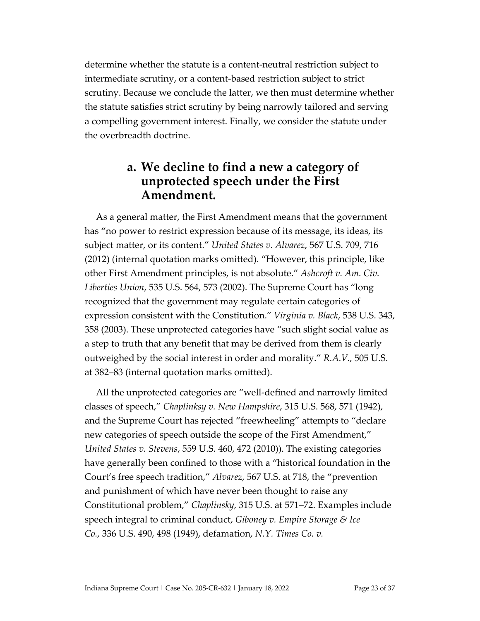determine whether the statute is a content-neutral restriction subject to intermediate scrutiny, or a content-based restriction subject to strict scrutiny. Because we conclude the latter, we then must determine whether the statute satisfies strict scrutiny by being narrowly tailored and serving a compelling government interest. Finally, we consider the statute under the overbreadth doctrine.

#### **a. We decline to find a new a category of unprotected speech under the First Amendment.**

As a general matter, the First Amendment means that the government has "no power to restrict expression because of its message, its ideas, its subject matter, or its content." *United States v. Alvarez*, 567 U.S. 709, 716 (2012) (internal quotation marks omitted). "However, this principle, like other First Amendment principles, is not absolute." *Ashcroft v. Am. Civ. Liberties Union*, 535 U.S. 564, 573 (2002). The Supreme Court has "long recognized that the government may regulate certain categories of expression consistent with the Constitution." *Virginia v. Black*, 538 U.S. 343, 358 (2003). These unprotected categories have "such slight social value as a step to truth that any benefit that may be derived from them is clearly outweighed by the social interest in order and morality." *R.A.V.*, 505 U.S. at 382–83 (internal quotation marks omitted).

All the unprotected categories are "well-defined and narrowly limited classes of speech," *Chaplinksy v. New Hampshire*, 315 U.S. 568, 571 (1942), and the Supreme Court has rejected "freewheeling" attempts to "declare new categories of speech outside the scope of the First Amendment," *United States v. Stevens*, 559 U.S. 460, 472 (2010)). The existing categories have generally been confined to those with a "historical foundation in the Court's free speech tradition," *Alvarez*, 567 U.S. at 718, the "prevention and punishment of which have never been thought to raise any Constitutional problem," *Chaplinsky*, 315 U.S. at 571–72. Examples include speech integral to criminal conduct, *Giboney v. Empire Storage & Ice Co.*, 336 U.S. 490, 498 (1949), defamation, *N.Y. Times Co. v.*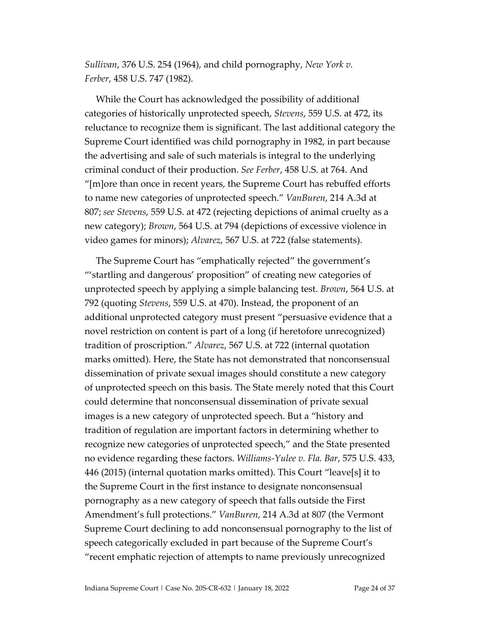*Sullivan*, 376 U.S. 254 (1964), and child pornography, *New York v. Ferber*, 458 U.S. 747 (1982).

While the Court has acknowledged the possibility of additional categories of historically unprotected speech, *Stevens*, 559 U.S. at 472, its reluctance to recognize them is significant. The last additional category the Supreme Court identified was child pornography in 1982, in part because the advertising and sale of such materials is integral to the underlying criminal conduct of their production. *See Ferber*, 458 U.S. at 764. And "[m]ore than once in recent years, the Supreme Court has rebuffed efforts to name new categories of unprotected speech." *VanBuren*, 214 A.3d at 807; *see Stevens*, 559 U.S. at 472 (rejecting depictions of animal cruelty as a new category); *Brown*, 564 U.S. at 794 (depictions of excessive violence in video games for minors); *Alvarez*, 567 U.S. at 722 (false statements).

The Supreme Court has "emphatically rejected" the government's "'startling and dangerous' proposition" of creating new categories of unprotected speech by applying a simple balancing test. *Brown*, 564 U.S. at 792 (quoting *Stevens*, 559 U.S. at 470). Instead, the proponent of an additional unprotected category must present "persuasive evidence that a novel restriction on content is part of a long (if heretofore unrecognized) tradition of proscription." *Alvarez*, 567 U.S. at 722 (internal quotation marks omitted). Here, the State has not demonstrated that nonconsensual dissemination of private sexual images should constitute a new category of unprotected speech on this basis. The State merely noted that this Court could determine that nonconsensual dissemination of private sexual images is a new category of unprotected speech. But a "history and tradition of regulation are important factors in determining whether to recognize new categories of unprotected speech," and the State presented no evidence regarding these factors. *Williams-Yulee v. Fla. Bar*, 575 U.S. 433, 446 (2015) (internal quotation marks omitted). This Court "leave[s] it to the Supreme Court in the first instance to designate nonconsensual pornography as a new category of speech that falls outside the First Amendment's full protections." *VanBuren*, 214 A.3d at 807 (the Vermont Supreme Court declining to add nonconsensual pornography to the list of speech categorically excluded in part because of the Supreme Court's "recent emphatic rejection of attempts to name previously unrecognized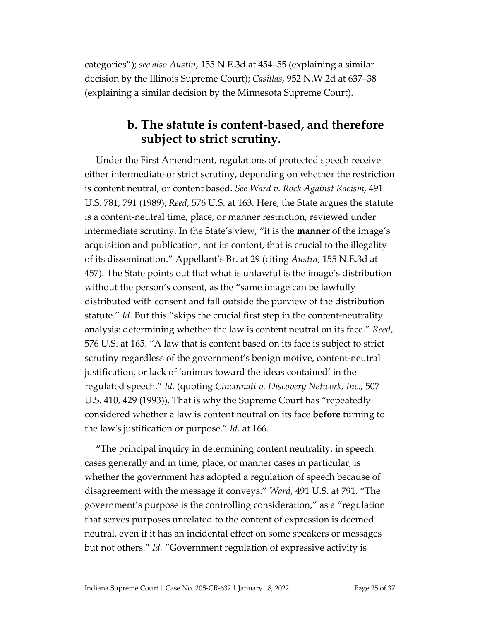categories"); *see also Austin*, 155 N.E.3d at 454–55 (explaining a similar decision by the Illinois Supreme Court); *Casillas*, 952 N.W.2d at 637–38 (explaining a similar decision by the Minnesota Supreme Court).

#### **b. The statute is content-based, and therefore subject to strict scrutiny.**

Under the First Amendment, regulations of protected speech receive either intermediate or strict scrutiny, depending on whether the restriction is content neutral, or content based. *See Ward v. Rock Against Racism*, 491 U.S. 781, 791 (1989); *Reed*, 576 U.S. at 163. Here, the State argues the statute is a content-neutral time, place, or manner restriction, reviewed under intermediate scrutiny. In the State's view, "it is the **manner** of the image's acquisition and publication, not its content, that is crucial to the illegality of its dissemination." Appellant's Br. at 29 (citing *Austin*, 155 N.E.3d at 457). The State points out that what is unlawful is the image's distribution without the person's consent, as the "same image can be lawfully distributed with consent and fall outside the purview of the distribution statute." *Id.* But this "skips the crucial first step in the content-neutrality analysis: determining whether the law is content neutral on its face." *Reed*, 576 U.S. at 165. "A law that is content based on its face is subject to strict scrutiny regardless of the government's benign motive, content-neutral justification, or lack of 'animus toward the ideas contained' in the regulated speech." *Id.* (quoting *Cincinnati v. Discovery Network, Inc.,* 507 U.S. 410, 429 (1993)). That is why the Supreme Court has "repeatedly considered whether a law is content neutral on its face **before** turning to the law's justification or purpose." *Id.* at 166.

"The principal inquiry in determining content neutrality, in speech cases generally and in time, place, or manner cases in particular, is whether the government has adopted a regulation of speech because of disagreement with the message it conveys." *Ward*, 491 U.S. at 791. "The government's purpose is the controlling consideration," as a "regulation that serves purposes unrelated to the content of expression is deemed neutral, even if it has an incidental effect on some speakers or messages but not others." *Id.* "Government regulation of expressive activity is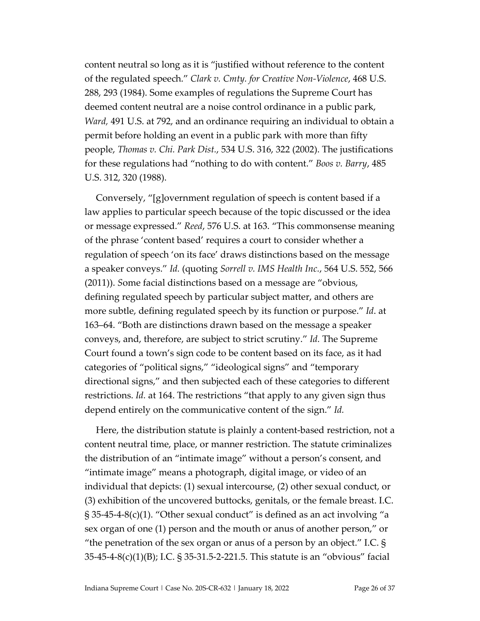content neutral so long as it is "justified without reference to the content of the regulated speech." *Clark v. Cmty. for Creative Non-Violence*, 468 U.S. 288, 293 (1984). Some examples of regulations the Supreme Court has deemed content neutral are a noise control ordinance in a public park, *Ward,* 491 U.S. at 792, and an ordinance requiring an individual to obtain a permit before holding an event in a public park with more than fifty people, *Thomas v. Chi. Park Dist.*, 534 U.S. 316, 322 (2002). The justifications for these regulations had "nothing to do with content." *Boos v. Barry*, 485 U.S. 312, 320 (1988).

Conversely, "[g]overnment regulation of speech is content based if a law applies to particular speech because of the topic discussed or the idea or message expressed." *Reed*, 576 U.S. at 163. "This commonsense meaning of the phrase 'content based' requires a court to consider whether a regulation of speech 'on its face' draws distinctions based on the message a speaker conveys." *Id.* (quoting *Sorrell v. IMS Health Inc.*, 564 U.S. 552, 566 (2011)). *S*ome facial distinctions based on a message are "obvious, defining regulated speech by particular subject matter, and others are more subtle, defining regulated speech by its function or purpose." *Id*. at 163–64. "Both are distinctions drawn based on the message a speaker conveys, and, therefore, are subject to strict scrutiny." *Id.* The Supreme Court found a town's sign code to be content based on its face, as it had categories of "political signs," "ideological signs" and "temporary directional signs," and then subjected each of these categories to different restrictions. *Id.* at 164. The restrictions "that apply to any given sign thus depend entirely on the communicative content of the sign." *Id.*

Here, the distribution statute is plainly a content-based restriction, not a content neutral time, place, or manner restriction. The statute criminalizes the distribution of an "intimate image" without a person's consent, and "intimate image" means a photograph, digital image, or video of an individual that depicts: (1) sexual intercourse, (2) other sexual conduct, or (3) exhibition of the uncovered buttocks, genitals, or the female breast. I.C.  $\S 35-45-4-8(c)(1)$ . "Other sexual conduct" is defined as an act involving "a sex organ of one (1) person and the mouth or anus of another person," or "the penetration of the sex organ or anus of a person by an object." I.C.  $\S$ 35-45-4-8(c)(1)(B); I.C. § 35-31.5-2-221.5. This statute is an "obvious" facial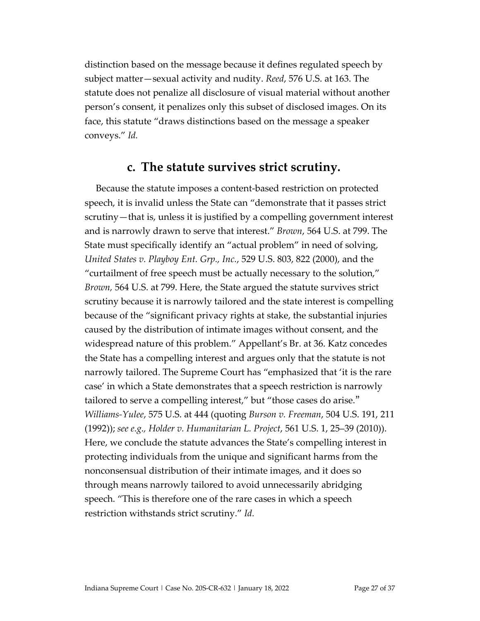distinction based on the message because it defines regulated speech by subject matter—sexual activity and nudity. *Reed*, 576 U.S. at 163. The statute does not penalize all disclosure of visual material without another person's consent, it penalizes only this subset of disclosed images. On its face, this statute "draws distinctions based on the message a speaker conveys." *Id.* 

### **c. The statute survives strict scrutiny.**

Because the statute imposes a content-based restriction on protected speech, it is invalid unless the State can "demonstrate that it passes strict scrutiny—that is, unless it is justified by a compelling government interest and is narrowly drawn to serve that interest." *Brown*, 564 U.S. at 799. The State must specifically identify an "actual problem" in need of solving, *United States v. Playboy Ent. Grp., Inc.*, 529 U.S. 803, 822 (2000), and the "curtailment of free speech must be actually necessary to the solution," *Brown,* 564 U.S. at 799. Here, the State argued the statute survives strict scrutiny because it is narrowly tailored and the state interest is compelling because of the "significant privacy rights at stake, the substantial injuries caused by the distribution of intimate images without consent, and the widespread nature of this problem." Appellant's Br. at 36. Katz concedes the State has a compelling interest and argues only that the statute is not narrowly tailored. The Supreme Court has "emphasized that 'it is the rare case' in which a State demonstrates that a speech restriction is narrowly tailored to serve a compelling interest," but "those cases do arise." *Williams-Yulee*, 575 U.S. at 444 (quoting *Burson v. Freeman*, 504 U.S. 191, 211 (1992)); *see e.g., Holder v. Humanitarian L. Project*, 561 U.S. 1, 25–39 (2010)). Here, we conclude the statute advances the State's compelling interest in protecting individuals from the unique and significant harms from the nonconsensual distribution of their intimate images, and it does so through means narrowly tailored to avoid unnecessarily abridging speech. "This is therefore one of the rare cases in which a speech restriction withstands strict scrutiny." *Id.*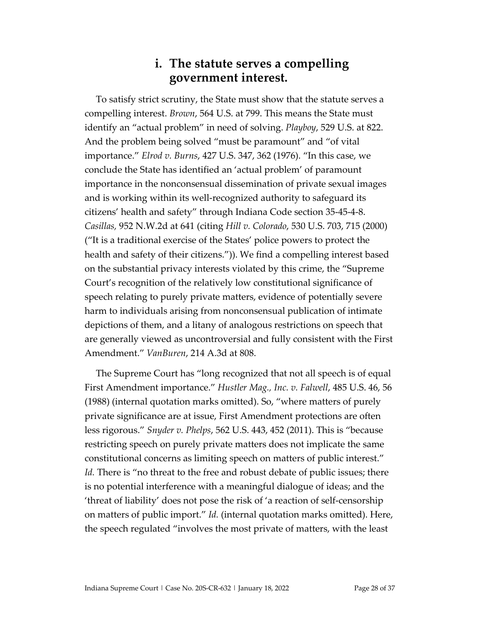#### **i. The statute serves a compelling government interest.**

To satisfy strict scrutiny, the State must show that the statute serves a compelling interest. *Brown*, 564 U.S. at 799. This means the State must identify an "actual problem" in need of solving. *Playboy*, 529 U.S. at 822. And the problem being solved "must be paramount" and "of vital importance." *Elrod v. Burns*, 427 U.S. 347, 362 (1976). "In this case, we conclude the State has identified an 'actual problem' of paramount importance in the nonconsensual dissemination of private sexual images and is working within its well-recognized authority to safeguard its citizens' health and safety" through Indiana Code section 35-45-4-8. *Casillas,* 952 N.W.2d at 641 (citing *Hill v. Colorado*, 530 U.S. 703, 715 (2000) ("It is a traditional exercise of the States' police powers to protect the health and safety of their citizens.")). We find a compelling interest based on the substantial privacy interests violated by this crime, the "Supreme Court's recognition of the relatively low constitutional significance of speech relating to purely private matters, evidence of potentially severe harm to individuals arising from nonconsensual publication of intimate depictions of them, and a litany of analogous restrictions on speech that are generally viewed as uncontroversial and fully consistent with the First Amendment." *VanBuren*, 214 A.3d at 808.

The Supreme Court has "long recognized that not all speech is of equal First Amendment importance." *Hustler Mag., Inc. v. Falwell*, 485 U.S. 46, 56 (1988) (internal quotation marks omitted). So, "where matters of purely private significance are at issue, First Amendment protections are often less rigorous." *Snyder v. Phelps*, 562 U.S. 443, 452 (2011). This is "because restricting speech on purely private matters does not implicate the same constitutional concerns as limiting speech on matters of public interest." *Id.* There is "no threat to the free and robust debate of public issues; there is no potential interference with a meaningful dialogue of ideas; and the 'threat of liability' does not pose the risk of 'a reaction of self-censorship on matters of public import." *Id.* (internal quotation marks omitted). Here, the speech regulated "involves the most private of matters, with the least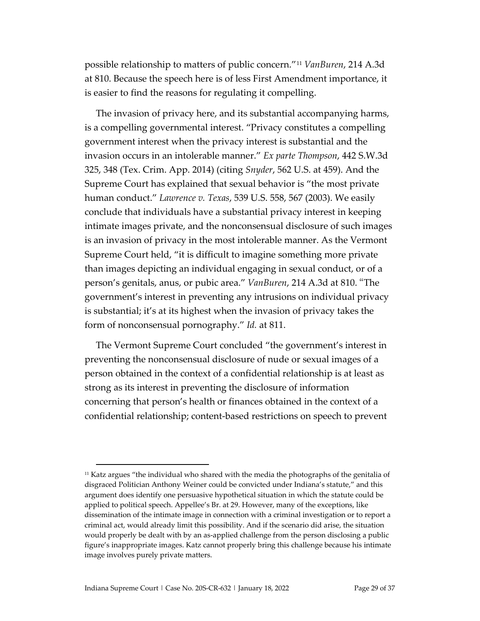possible relationship to matters of public concern."[11](#page-28-0) *VanBuren*, 214 A.3d at 810. Because the speech here is of less First Amendment importance, it is easier to find the reasons for regulating it compelling.

The invasion of privacy here, and its substantial accompanying harms, is a compelling governmental interest. "Privacy constitutes a compelling government interest when the privacy interest is substantial and the invasion occurs in an intolerable manner." *Ex parte Thompson*, 442 S.W.3d 325, 348 (Tex. Crim. App. 2014) (citing *Snyder*, 562 U.S. at 459). And the Supreme Court has explained that sexual behavior is "the most private human conduct." *Lawrence v. Texas*, 539 U.S. 558, 567 (2003). We easily conclude that individuals have a substantial privacy interest in keeping intimate images private, and the nonconsensual disclosure of such images is an invasion of privacy in the most intolerable manner. As the Vermont Supreme Court held, "it is difficult to imagine something more private than images depicting an individual engaging in sexual conduct, or of a person's genitals, anus, or pubic area." *VanBuren*, 214 A.3d at 810. "The government's interest in preventing any intrusions on individual privacy is substantial; it's at its highest when the invasion of privacy takes the form of nonconsensual pornography." *Id.* at 811.

The Vermont Supreme Court concluded "the government's interest in preventing the nonconsensual disclosure of nude or sexual images of a person obtained in the context of a confidential relationship is at least as strong as its interest in preventing the disclosure of information concerning that person's health or finances obtained in the context of a confidential relationship; content-based restrictions on speech to prevent

<span id="page-28-0"></span> $11$  Katz argues "the individual who shared with the media the photographs of the genitalia of disgraced Politician Anthony Weiner could be convicted under Indiana's statute," and this argument does identify one persuasive hypothetical situation in which the statute could be applied to political speech. Appellee's Br. at 29. However, many of the exceptions, like dissemination of the intimate image in connection with a criminal investigation or to report a criminal act, would already limit this possibility. And if the scenario did arise, the situation would properly be dealt with by an as-applied challenge from the person disclosing a public figure's inappropriate images. Katz cannot properly bring this challenge because his intimate image involves purely private matters.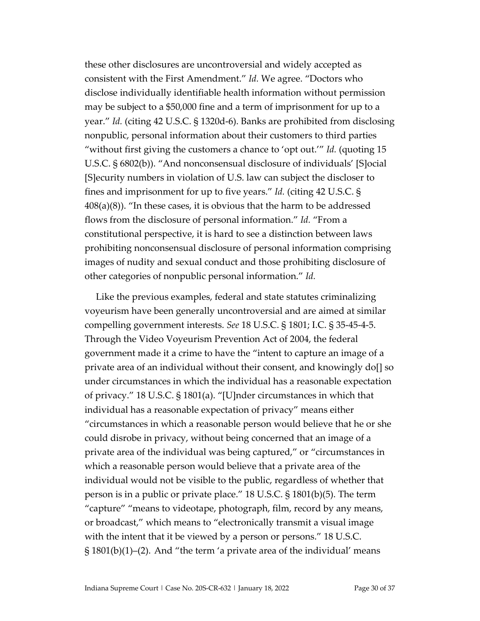these other disclosures are uncontroversial and widely accepted as consistent with the First Amendment." *Id.* We agree. "Doctors who disclose individually identifiable health information without permission may be subject to a \$50,000 fine and a term of imprisonment for up to a year." *Id.* (citing 42 U.S.C. § 1320d-6). Banks are prohibited from disclosing nonpublic, personal information about their customers to third parties "without first giving the customers a chance to 'opt out.'" *Id.* (quoting 15 U.S.C. § 6802(b)). "And nonconsensual disclosure of individuals' [S]ocial [S]ecurity numbers in violation of U.S. law can subject the discloser to fines and imprisonment for up to five years." *Id.* (citing 42 U.S.C. §  $408(a)(8)$ ). "In these cases, it is obvious that the harm to be addressed flows from the disclosure of personal information." *Id.* "From a constitutional perspective, it is hard to see a distinction between laws prohibiting nonconsensual disclosure of personal information comprising images of nudity and sexual conduct and those prohibiting disclosure of other categories of nonpublic personal information." *Id.* 

Like the previous examples, federal and state statutes criminalizing voyeurism have been generally uncontroversial and are aimed at similar compelling government interests. *See* 18 U.S.C. § 1801; I.C. § 35-45-4-5. Through the Video Voyeurism Prevention Act of 2004, the federal government made it a crime to have the "intent to capture an image of a private area of an individual without their consent, and knowingly do[] so under circumstances in which the individual has a reasonable expectation of privacy." 18 U.S.C. § 1801(a). "[U]nder circumstances in which that individual has a reasonable expectation of privacy" means either "circumstances in which a reasonable person would believe that he or she could disrobe in privacy, without being concerned that an image of a private area of the individual was being captured," or "circumstances in which a reasonable person would believe that a private area of the individual would not be visible to the public, regardless of whether that person is in a public or private place." 18 U.S.C. § 1801(b)(5). The term "capture" "means to videotape, photograph, film, record by any means, or broadcast," which means to "electronically transmit a visual image with the intent that it be viewed by a person or persons." 18 U.S.C.  $\S$  1801(b)(1)–(2). And "the term 'a private area of the individual' means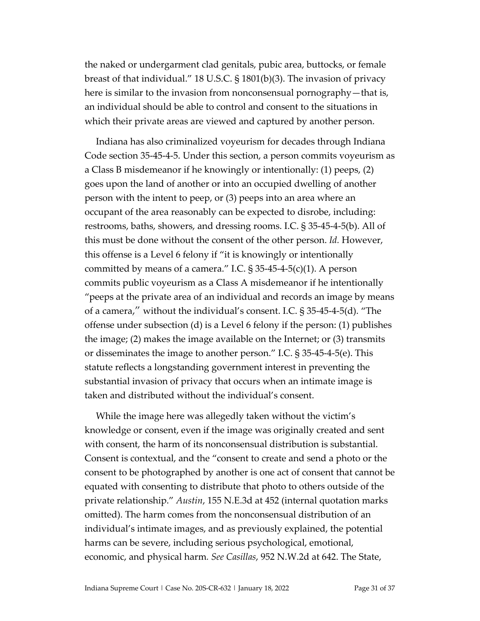the naked or undergarment clad genitals, pubic area, buttocks, or female breast of that individual." 18 U.S.C. § 1801(b)(3). The invasion of privacy here is similar to the invasion from nonconsensual pornography—that is, an individual should be able to control and consent to the situations in which their private areas are viewed and captured by another person.

Indiana has also criminalized voyeurism for decades through Indiana Code section 35-45-4-5. Under this section, a person commits voyeurism as a Class B misdemeanor if he knowingly or intentionally: (1) peeps, (2) goes upon the land of another or into an occupied dwelling of another person with the intent to peep, or (3) peeps into an area where an occupant of the area reasonably can be expected to disrobe, including: restrooms, baths, showers, and dressing rooms. I.C. § 35-45-4-5(b). All of this must be done without the consent of the other person. *Id.* However, this offense is a Level 6 felony if "it is knowingly or intentionally committed by means of a camera." I.C.  $\S$  35-45-4-5(c)(1). A person commits public voyeurism as a Class A misdemeanor if he intentionally "peeps at the private area of an individual and records an image by means of a camera," without the individual's consent. I.C. § 35-45-4-5(d). "The offense under subsection (d) is a Level 6 felony if the person: (1) publishes the image; (2) makes the image available on the Internet; or (3) transmits or disseminates the image to another person." I.C. § 35-45-4-5(e). This statute reflects a longstanding government interest in preventing the substantial invasion of privacy that occurs when an intimate image is taken and distributed without the individual's consent.

While the image here was allegedly taken without the victim's knowledge or consent, even if the image was originally created and sent with consent, the harm of its nonconsensual distribution is substantial. Consent is contextual, and the "consent to create and send a photo or the consent to be photographed by another is one act of consent that cannot be equated with consenting to distribute that photo to others outside of the private relationship." *Austin*, 155 N.E.3d at 452 (internal quotation marks omitted). The harm comes from the nonconsensual distribution of an individual's intimate images, and as previously explained, the potential harms can be severe, including serious psychological, emotional, economic, and physical harm*. See Casillas*, 952 N.W.2d at 642. The State,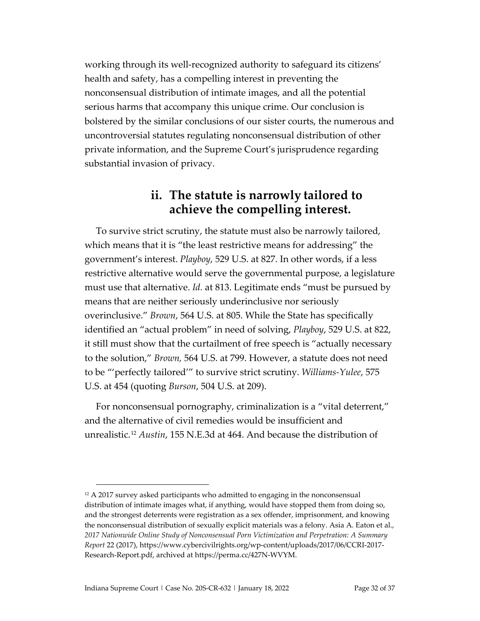working through its well-recognized authority to safeguard its citizens' health and safety, has a compelling interest in preventing the nonconsensual distribution of intimate images, and all the potential serious harms that accompany this unique crime. Our conclusion is bolstered by the similar conclusions of our sister courts, the numerous and uncontroversial statutes regulating nonconsensual distribution of other private information, and the Supreme Court's jurisprudence regarding substantial invasion of privacy.

#### **ii. The statute is narrowly tailored to achieve the compelling interest.**

To survive strict scrutiny, the statute must also be narrowly tailored, which means that it is "the least restrictive means for addressing" the government's interest. *Playboy*, 529 U.S. at 827. In other words, if a less restrictive alternative would serve the governmental purpose, a legislature must use that alternative. *Id.* at 813. Legitimate ends "must be pursued by means that are neither seriously underinclusive nor seriously overinclusive." *Brown*, 564 U.S. at 805. While the State has specifically identified an "actual problem" in need of solving, *Playboy*, 529 U.S. at 822, it still must show that the curtailment of free speech is "actually necessary to the solution," *Brown,* 564 U.S. at 799. However, a statute does not need to be "'perfectly tailored'" to survive strict scrutiny. *Williams-Yulee*, 575 U.S. at 454 (quoting *Burson*, 504 U.S. at 209).

For nonconsensual pornography, criminalization is a "vital deterrent," and the alternative of civil remedies would be insufficient and unrealistic.[12](#page-31-0) *Austin*, 155 N.E.3d at 464. And because the distribution of

<span id="page-31-0"></span> $12$  A 2017 survey asked participants who admitted to engaging in the nonconsensual distribution of intimate images what, if anything, would have stopped them from doing so, and the strongest deterrents were registration as a sex offender, imprisonment, and knowing the nonconsensual distribution of sexually explicit materials was a felony. Asia A. Eaton et al., *2017 Nationwide Online Study of Nonconsensual Porn Victimization and Perpetration: A Summary Report* 22 (2017), [https://www.cybercivilrights.org/wp-content/uploads/2017/06/CCRI-2017-](https://www.cybercivilrights.org/wp-content/uploads/2017/06/CCRI-2017-Research-Report.pdf) [Research-Report.pdf,](https://www.cybercivilrights.org/wp-content/uploads/2017/06/CCRI-2017-Research-Report.pdf) archived a[t https://perma.cc/427N-WVYM.](https://perma.cc/427N-WVYM)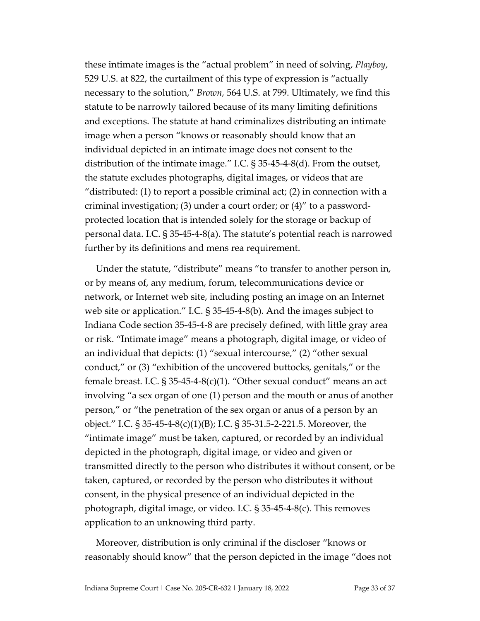these intimate images is the "actual problem" in need of solving, *Playboy*, 529 U.S. at 822, the curtailment of this type of expression is "actually necessary to the solution," *Brown,* 564 U.S. at 799. Ultimately, we find this statute to be narrowly tailored because of its many limiting definitions and exceptions. The statute at hand criminalizes distributing an intimate image when a person "knows or reasonably should know that an individual depicted in an intimate image does not consent to the distribution of the intimate image." I.C. § 35-45-4-8(d). From the outset, the statute excludes photographs, digital images, or videos that are "distributed: (1) to report a possible criminal act; (2) in connection with a criminal investigation; (3) under a court order; or (4)" to a passwordprotected location that is intended solely for the storage or backup of personal data. I.C. § 35-45-4-8(a). The statute's potential reach is narrowed further by its definitions and mens rea requirement.

Under the statute, "distribute" means "to transfer to another person in, or by means of, any medium, forum, telecommunications device or network, or Internet web site, including posting an image on an Internet web site or application." I.C. § 35-45-4-8(b). And the images subject to Indiana Code section 35-45-4-8 are precisely defined, with little gray area or risk. "Intimate image" means a photograph, digital image, or video of an individual that depicts: (1) "sexual intercourse," (2) "other sexual conduct," or (3) "exhibition of the uncovered buttocks, genitals," or the female breast. I.C.  $\S 35-45-4-8(c)(1)$ . "Other sexual conduct" means an act involving "a sex organ of one (1) person and the mouth or anus of another person," or "the penetration of the sex organ or anus of a person by an object." I.C. § 35-45-4-8(c)(1)(B); I.C. § 35-31.5-2-221.5. Moreover, the "intimate image" must be taken, captured, or recorded by an individual depicted in the photograph, digital image, or video and given or transmitted directly to the person who distributes it without consent, or be taken, captured, or recorded by the person who distributes it without consent, in the physical presence of an individual depicted in the photograph, digital image, or video. I.C. § 35-45-4-8(c). This removes application to an unknowing third party.

Moreover, distribution is only criminal if the discloser "knows or reasonably should know" that the person depicted in the image "does not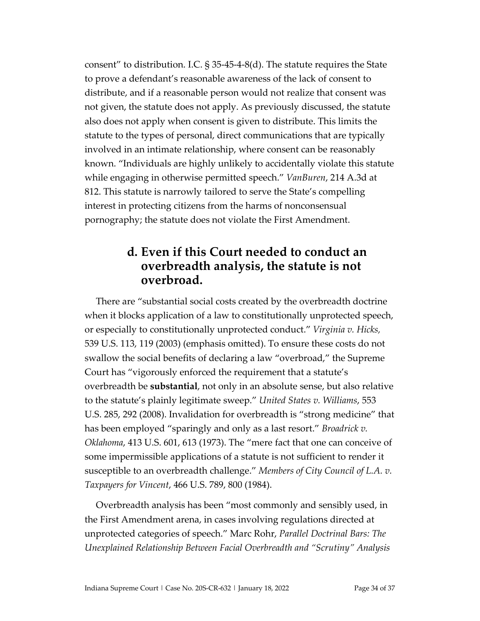consent" to distribution. I.C. § 35-45-4-8(d). The statute requires the State to prove a defendant's reasonable awareness of the lack of consent to distribute, and if a reasonable person would not realize that consent was not given, the statute does not apply. As previously discussed, the statute also does not apply when consent is given to distribute. This limits the statute to the types of personal, direct communications that are typically involved in an intimate relationship, where consent can be reasonably known. "Individuals are highly unlikely to accidentally violate this statute while engaging in otherwise permitted speech." *VanBuren*, 214 A.3d at 812. This statute is narrowly tailored to serve the State's compelling interest in protecting citizens from the harms of nonconsensual pornography; the statute does not violate the First Amendment.

#### **d. Even if this Court needed to conduct an overbreadth analysis, the statute is not overbroad.**

There are "substantial social costs created by the overbreadth doctrine when it blocks application of a law to constitutionally unprotected speech, or especially to constitutionally unprotected conduct." *Virginia v. Hicks,*  539 U.S. 113, 119 (2003) (emphasis omitted). To ensure these costs do not swallow the social benefits of declaring a law "overbroad," the Supreme Court has "vigorously enforced the requirement that a statute's overbreadth be **substantial**, not only in an absolute sense, but also relative to the statute's plainly legitimate sweep." *United States v. Williams*, 553 U.S. 285, 292 (2008). Invalidation for overbreadth is "strong medicine" that has been employed "sparingly and only as a last resort." *Broadrick v. Oklahoma*, 413 U.S. 601, 613 (1973). The "mere fact that one can conceive of some impermissible applications of a statute is not sufficient to render it susceptible to an overbreadth challenge." *Members of City Council of L.A. v. Taxpayers for Vincent*, 466 U.S. 789, 800 (1984).

Overbreadth analysis has been "most commonly and sensibly used, in the First Amendment arena, in cases involving regulations directed at unprotected categories of speech." Marc Rohr, *Parallel Doctrinal Bars: The Unexplained Relationship Between Facial Overbreadth and "Scrutiny" Analysis*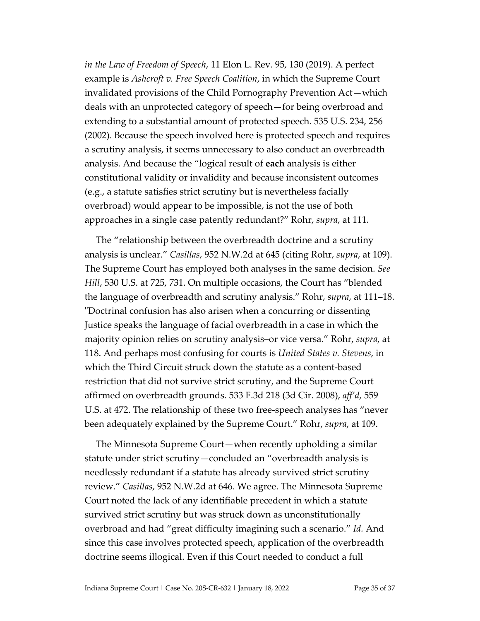*in the Law of Freedom of Speech*, 11 Elon L. Rev. 95, 130 (2019). A perfect example is *Ashcroft v. Free Speech Coalition*, in which the Supreme Court invalidated provisions of the Child Pornography Prevention Act—which deals with an unprotected category of speech—for being overbroad and extending to a substantial amount of protected speech. 535 U.S. 234, 256 (2002). Because the speech involved here is protected speech and requires a scrutiny analysis, it seems unnecessary to also conduct an overbreadth analysis. And because the "logical result of **each** analysis is either constitutional validity or invalidity and because inconsistent outcomes (e.g., a statute satisfies strict scrutiny but is nevertheless facially overbroad) would appear to be impossible, is not the use of both approaches in a single case patently redundant?" Rohr, *supra*, at 111.

The "relationship between the overbreadth doctrine and a scrutiny analysis is unclear." *Casillas*, 952 N.W.2d at 645 (citing Rohr, *supra*, at 109). The Supreme Court has employed both analyses in the same decision. *See Hill*, 530 U.S. at 725, 731. On multiple occasions, the Court has "blended the language of overbreadth and scrutiny analysis." Rohr, *supra*, at 111–18. "Doctrinal confusion has also arisen when a concurring or dissenting Justice speaks the language of facial overbreadth in a case in which the majority opinion relies on scrutiny analysis–or vice versa." Rohr, *supra*, at 118. And perhaps most confusing for courts is *United States v. Stevens*, in which the Third Circuit struck down the statute as a content-based restriction that did not survive strict scrutiny, and the Supreme Court affirmed on overbreadth grounds. 533 F.3d 218 (3d Cir. 2008), *aff'd*, 559 U.S. at 472. The relationship of these two free-speech analyses has "never been adequately explained by the Supreme Court." Rohr, *supra*, at 109.

The Minnesota Supreme Court—when recently upholding a similar statute under strict scrutiny—concluded an "overbreadth analysis is needlessly redundant if a statute has already survived strict scrutiny review." *Casillas*, 952 N.W.2d at 646. We agree. The Minnesota Supreme Court noted the lack of any identifiable precedent in which a statute survived strict scrutiny but was struck down as unconstitutionally overbroad and had "great difficulty imagining such a scenario." *Id.* And since this case involves protected speech, application of the overbreadth doctrine seems illogical. Even if this Court needed to conduct a full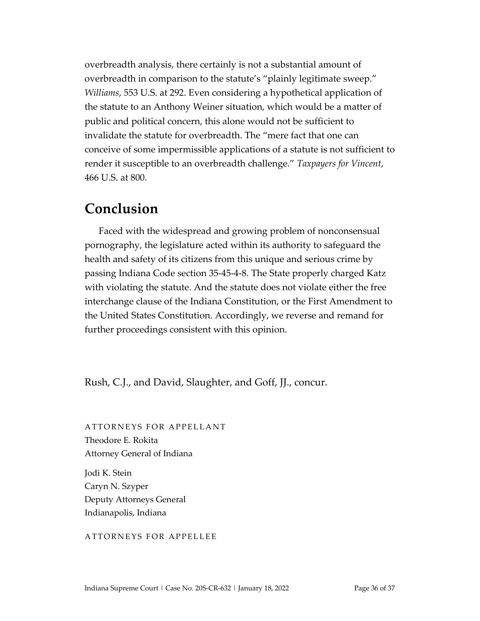overbreadth analysis, there certainly is not a substantial amount of overbreadth in comparison to the statute's "plainly legitimate sweep." *Williams*, 553 U.S. at 292. Even considering a hypothetical application of the statute to an Anthony Weiner situation, which would be a matter of public and political concern, this alone would not be sufficient to invalidate the statute for overbreadth. The "mere fact that one can conceive of some impermissible applications of a statute is not sufficient to render it susceptible to an overbreadth challenge." *Taxpayers for Vincent*, 466 U.S. at 800.

### **Conclusion**

Faced with the widespread and growing problem of nonconsensual pornography, the legislature acted within its authority to safeguard the health and safety of its citizens from this unique and serious crime by passing Indiana Code section 35-45-4-8. The State properly charged Katz with violating the statute. And the statute does not violate either the free interchange clause of the Indiana Constitution, or the First Amendment to the United States Constitution. Accordingly, we reverse and remand for further proceedings consistent with this opinion.

Rush, C.J., and David, Slaughter, and Goff, JJ., concur.

ATTORNEYS FOR APPELLANT Theodore E. Rokita Attorney General of Indiana

Jodi K. Stein Caryn N. Szyper Deputy Attorneys General Indianapolis, Indiana

#### ATTORNEYS FOR APPELLEE